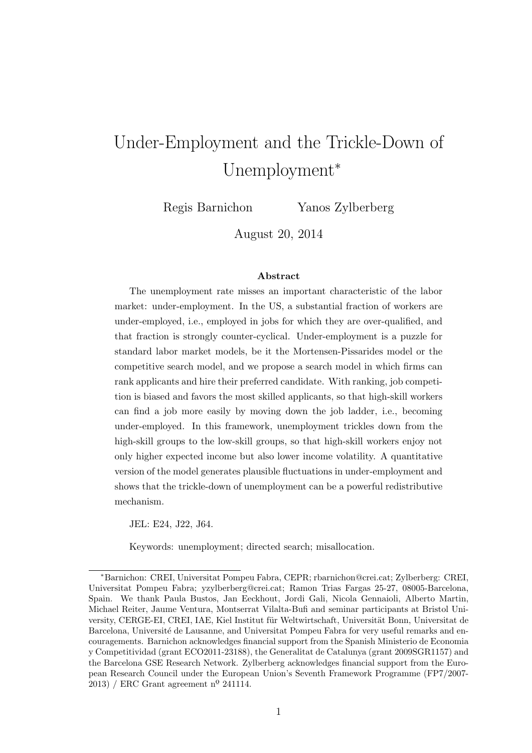# Under-Employment and the Trickle-Down of Unemployment<sup>∗</sup>

Regis Barnichon Yanos Zylberberg

August 20, 2014

#### Abstract

The unemployment rate misses an important characteristic of the labor market: under-employment. In the US, a substantial fraction of workers are under-employed, i.e., employed in jobs for which they are over-qualified, and that fraction is strongly counter-cyclical. Under-employment is a puzzle for standard labor market models, be it the Mortensen-Pissarides model or the competitive search model, and we propose a search model in which firms can rank applicants and hire their preferred candidate. With ranking, job competition is biased and favors the most skilled applicants, so that high-skill workers can find a job more easily by moving down the job ladder, i.e., becoming under-employed. In this framework, unemployment trickles down from the high-skill groups to the low-skill groups, so that high-skill workers enjoy not only higher expected income but also lower income volatility. A quantitative version of the model generates plausible fluctuations in under-employment and shows that the trickle-down of unemployment can be a powerful redistributive mechanism.

JEL: E24, J22, J64.

Keywords: unemployment; directed search; misallocation.

<sup>∗</sup>Barnichon: CREI, Universitat Pompeu Fabra, CEPR; rbarnichon@crei.cat; Zylberberg: CREI, Universitat Pompeu Fabra; yzylberberg@crei.cat; Ramon Trias Fargas 25-27, 08005-Barcelona, Spain. We thank Paula Bustos, Jan Eeckhout, Jordi Gali, Nicola Gennaioli, Alberto Martin, Michael Reiter, Jaume Ventura, Montserrat Vilalta-Bufi and seminar participants at Bristol University, CERGE-EI, CREI, IAE, Kiel Institut für Weltwirtschaft, Universität Bonn, Universitat de Barcelona, Université de Lausanne, and Universitat Pompeu Fabra for very useful remarks and encouragements. Barnichon acknowledges financial support from the Spanish Ministerio de Economia y Competitividad (grant ECO2011-23188), the Generalitat de Catalunya (grant 2009SGR1157) and the Barcelona GSE Research Network. Zylberberg acknowledges financial support from the European Research Council under the European Union's Seventh Framework Programme (FP7/2007- 2013) / ERC Grant agreement nº 241114.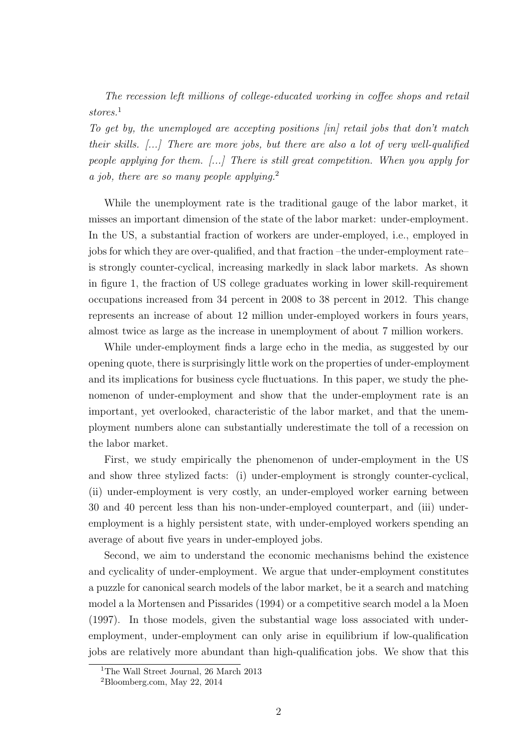The recession left millions of college-educated working in coffee shops and retail stores.<sup>1</sup>

To get by, the unemployed are accepting positions [in] retail jobs that don't match their skills.  $\left[\ldots\right]$  There are more jobs, but there are also a lot of very well-qualified people applying for them. [...] There is still great competition. When you apply for a job, there are so many people applying.<sup>2</sup>

While the unemployment rate is the traditional gauge of the labor market, it misses an important dimension of the state of the labor market: under-employment. In the US, a substantial fraction of workers are under-employed, i.e., employed in jobs for which they are over-qualified, and that fraction –the under-employment rate– is strongly counter-cyclical, increasing markedly in slack labor markets. As shown in figure 1, the fraction of US college graduates working in lower skill-requirement occupations increased from 34 percent in 2008 to 38 percent in 2012. This change represents an increase of about 12 million under-employed workers in fours years, almost twice as large as the increase in unemployment of about 7 million workers.

While under-employment finds a large echo in the media, as suggested by our opening quote, there is surprisingly little work on the properties of under-employment and its implications for business cycle fluctuations. In this paper, we study the phenomenon of under-employment and show that the under-employment rate is an important, yet overlooked, characteristic of the labor market, and that the unemployment numbers alone can substantially underestimate the toll of a recession on the labor market.

First, we study empirically the phenomenon of under-employment in the US and show three stylized facts: (i) under-employment is strongly counter-cyclical, (ii) under-employment is very costly, an under-employed worker earning between 30 and 40 percent less than his non-under-employed counterpart, and (iii) underemployment is a highly persistent state, with under-employed workers spending an average of about five years in under-employed jobs.

Second, we aim to understand the economic mechanisms behind the existence and cyclicality of under-employment. We argue that under-employment constitutes a puzzle for canonical search models of the labor market, be it a search and matching model a la Mortensen and Pissarides (1994) or a competitive search model a la Moen (1997). In those models, given the substantial wage loss associated with underemployment, under-employment can only arise in equilibrium if low-qualification jobs are relatively more abundant than high-qualification jobs. We show that this

<sup>1</sup>The Wall Street Journal, 26 March 2013

<sup>2</sup>Bloomberg.com, May 22, 2014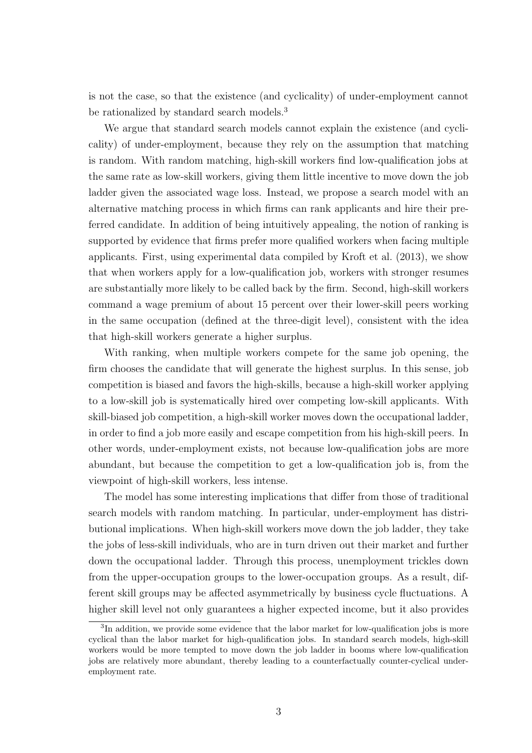is not the case, so that the existence (and cyclicality) of under-employment cannot be rationalized by standard search models.<sup>3</sup>

We argue that standard search models cannot explain the existence (and cyclicality) of under-employment, because they rely on the assumption that matching is random. With random matching, high-skill workers find low-qualification jobs at the same rate as low-skill workers, giving them little incentive to move down the job ladder given the associated wage loss. Instead, we propose a search model with an alternative matching process in which firms can rank applicants and hire their preferred candidate. In addition of being intuitively appealing, the notion of ranking is supported by evidence that firms prefer more qualified workers when facing multiple applicants. First, using experimental data compiled by Kroft et al. (2013), we show that when workers apply for a low-qualification job, workers with stronger resumes are substantially more likely to be called back by the firm. Second, high-skill workers command a wage premium of about 15 percent over their lower-skill peers working in the same occupation (defined at the three-digit level), consistent with the idea that high-skill workers generate a higher surplus.

With ranking, when multiple workers compete for the same job opening, the firm chooses the candidate that will generate the highest surplus. In this sense, job competition is biased and favors the high-skills, because a high-skill worker applying to a low-skill job is systematically hired over competing low-skill applicants. With skill-biased job competition, a high-skill worker moves down the occupational ladder, in order to find a job more easily and escape competition from his high-skill peers. In other words, under-employment exists, not because low-qualification jobs are more abundant, but because the competition to get a low-qualification job is, from the viewpoint of high-skill workers, less intense.

The model has some interesting implications that differ from those of traditional search models with random matching. In particular, under-employment has distributional implications. When high-skill workers move down the job ladder, they take the jobs of less-skill individuals, who are in turn driven out their market and further down the occupational ladder. Through this process, unemployment trickles down from the upper-occupation groups to the lower-occupation groups. As a result, different skill groups may be affected asymmetrically by business cycle fluctuations. A higher skill level not only guarantees a higher expected income, but it also provides

<sup>&</sup>lt;sup>3</sup>In addition, we provide some evidence that the labor market for low-qualification jobs is more cyclical than the labor market for high-qualification jobs. In standard search models, high-skill workers would be more tempted to move down the job ladder in booms where low-qualification jobs are relatively more abundant, thereby leading to a counterfactually counter-cyclical underemployment rate.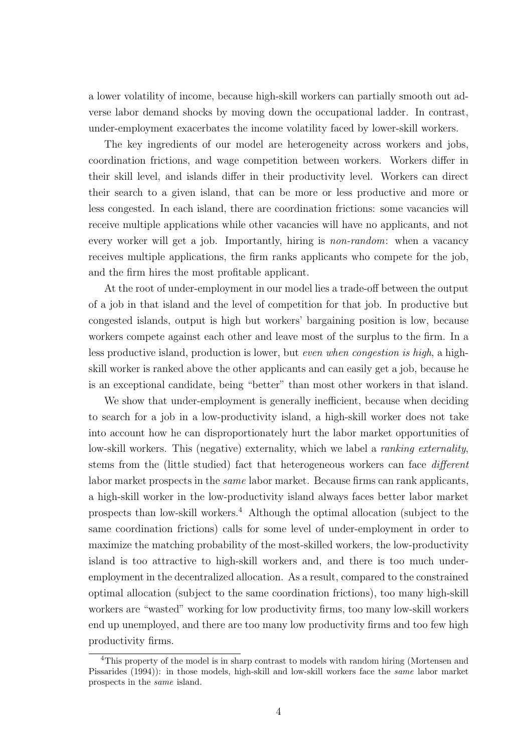a lower volatility of income, because high-skill workers can partially smooth out adverse labor demand shocks by moving down the occupational ladder. In contrast, under-employment exacerbates the income volatility faced by lower-skill workers.

The key ingredients of our model are heterogeneity across workers and jobs, coordination frictions, and wage competition between workers. Workers differ in their skill level, and islands differ in their productivity level. Workers can direct their search to a given island, that can be more or less productive and more or less congested. In each island, there are coordination frictions: some vacancies will receive multiple applications while other vacancies will have no applicants, and not every worker will get a job. Importantly, hiring is non-random: when a vacancy receives multiple applications, the firm ranks applicants who compete for the job, and the firm hires the most profitable applicant.

At the root of under-employment in our model lies a trade-off between the output of a job in that island and the level of competition for that job. In productive but congested islands, output is high but workers' bargaining position is low, because workers compete against each other and leave most of the surplus to the firm. In a less productive island, production is lower, but even when congestion is high, a highskill worker is ranked above the other applicants and can easily get a job, because he is an exceptional candidate, being "better" than most other workers in that island.

We show that under-employment is generally inefficient, because when deciding to search for a job in a low-productivity island, a high-skill worker does not take into account how he can disproportionately hurt the labor market opportunities of low-skill workers. This (negative) externality, which we label a *ranking externality*, stems from the (little studied) fact that heterogeneous workers can face different labor market prospects in the same labor market. Because firms can rank applicants, a high-skill worker in the low-productivity island always faces better labor market prospects than low-skill workers.<sup>4</sup> Although the optimal allocation (subject to the same coordination frictions) calls for some level of under-employment in order to maximize the matching probability of the most-skilled workers, the low-productivity island is too attractive to high-skill workers and, and there is too much underemployment in the decentralized allocation. As a result, compared to the constrained optimal allocation (subject to the same coordination frictions), too many high-skill workers are "wasted" working for low productivity firms, too many low-skill workers end up unemployed, and there are too many low productivity firms and too few high productivity firms.

<sup>4</sup>This property of the model is in sharp contrast to models with random hiring (Mortensen and Pissarides (1994)): in those models, high-skill and low-skill workers face the *same* labor market prospects in the same island.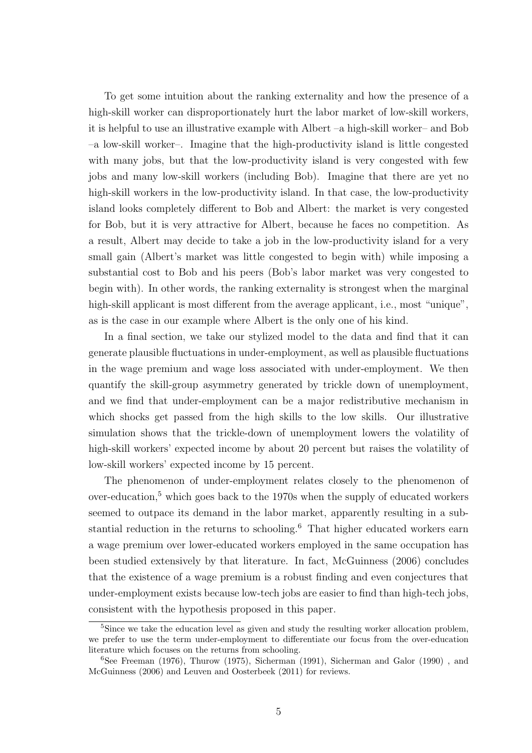To get some intuition about the ranking externality and how the presence of a high-skill worker can disproportionately hurt the labor market of low-skill workers, it is helpful to use an illustrative example with Albert –a high-skill worker– and Bob –a low-skill worker–. Imagine that the high-productivity island is little congested with many jobs, but that the low-productivity island is very congested with few jobs and many low-skill workers (including Bob). Imagine that there are yet no high-skill workers in the low-productivity island. In that case, the low-productivity island looks completely different to Bob and Albert: the market is very congested for Bob, but it is very attractive for Albert, because he faces no competition. As a result, Albert may decide to take a job in the low-productivity island for a very small gain (Albert's market was little congested to begin with) while imposing a substantial cost to Bob and his peers (Bob's labor market was very congested to begin with). In other words, the ranking externality is strongest when the marginal high-skill applicant is most different from the average applicant, i.e., most "unique", as is the case in our example where Albert is the only one of his kind.

In a final section, we take our stylized model to the data and find that it can generate plausible fluctuations in under-employment, as well as plausible fluctuations in the wage premium and wage loss associated with under-employment. We then quantify the skill-group asymmetry generated by trickle down of unemployment, and we find that under-employment can be a major redistributive mechanism in which shocks get passed from the high skills to the low skills. Our illustrative simulation shows that the trickle-down of unemployment lowers the volatility of high-skill workers' expected income by about 20 percent but raises the volatility of low-skill workers' expected income by 15 percent.

The phenomenon of under-employment relates closely to the phenomenon of over-education, $5$  which goes back to the 1970s when the supply of educated workers seemed to outpace its demand in the labor market, apparently resulting in a substantial reduction in the returns to schooling.<sup>6</sup> That higher educated workers earn a wage premium over lower-educated workers employed in the same occupation has been studied extensively by that literature. In fact, McGuinness (2006) concludes that the existence of a wage premium is a robust finding and even conjectures that under-employment exists because low-tech jobs are easier to find than high-tech jobs, consistent with the hypothesis proposed in this paper.

<sup>&</sup>lt;sup>5</sup>Since we take the education level as given and study the resulting worker allocation problem, we prefer to use the term under-employment to differentiate our focus from the over-education literature which focuses on the returns from schooling.

 $6$ See Freeman (1976), Thurow (1975), Sicherman (1991), Sicherman and Galor (1990), and McGuinness (2006) and Leuven and Oosterbeek (2011) for reviews.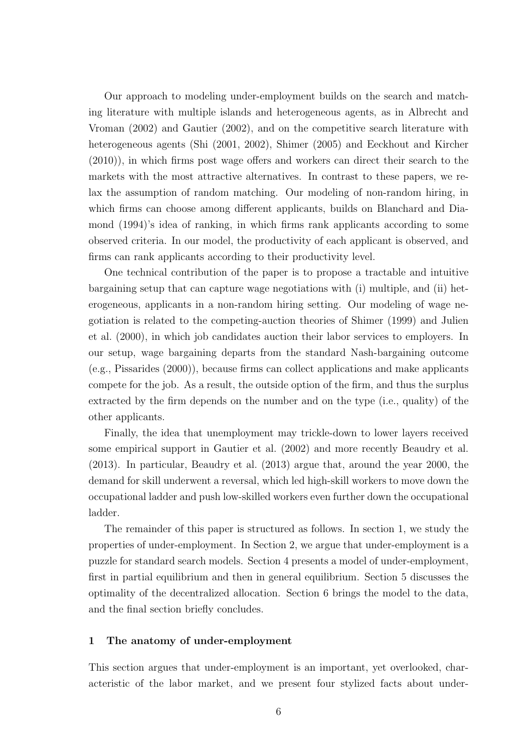Our approach to modeling under-employment builds on the search and matching literature with multiple islands and heterogeneous agents, as in Albrecht and Vroman (2002) and Gautier (2002), and on the competitive search literature with heterogeneous agents (Shi (2001, 2002), Shimer (2005) and Eeckhout and Kircher (2010)), in which firms post wage offers and workers can direct their search to the markets with the most attractive alternatives. In contrast to these papers, we relax the assumption of random matching. Our modeling of non-random hiring, in which firms can choose among different applicants, builds on Blanchard and Diamond (1994)'s idea of ranking, in which firms rank applicants according to some observed criteria. In our model, the productivity of each applicant is observed, and firms can rank applicants according to their productivity level.

One technical contribution of the paper is to propose a tractable and intuitive bargaining setup that can capture wage negotiations with (i) multiple, and (ii) heterogeneous, applicants in a non-random hiring setting. Our modeling of wage negotiation is related to the competing-auction theories of Shimer (1999) and Julien et al. (2000), in which job candidates auction their labor services to employers. In our setup, wage bargaining departs from the standard Nash-bargaining outcome (e.g., Pissarides (2000)), because firms can collect applications and make applicants compete for the job. As a result, the outside option of the firm, and thus the surplus extracted by the firm depends on the number and on the type (i.e., quality) of the other applicants.

Finally, the idea that unemployment may trickle-down to lower layers received some empirical support in Gautier et al. (2002) and more recently Beaudry et al. (2013). In particular, Beaudry et al. (2013) argue that, around the year 2000, the demand for skill underwent a reversal, which led high-skill workers to move down the occupational ladder and push low-skilled workers even further down the occupational ladder.

The remainder of this paper is structured as follows. In section 1, we study the properties of under-employment. In Section 2, we argue that under-employment is a puzzle for standard search models. Section 4 presents a model of under-employment, first in partial equilibrium and then in general equilibrium. Section 5 discusses the optimality of the decentralized allocation. Section 6 brings the model to the data, and the final section briefly concludes.

# 1 The anatomy of under-employment

This section argues that under-employment is an important, yet overlooked, characteristic of the labor market, and we present four stylized facts about under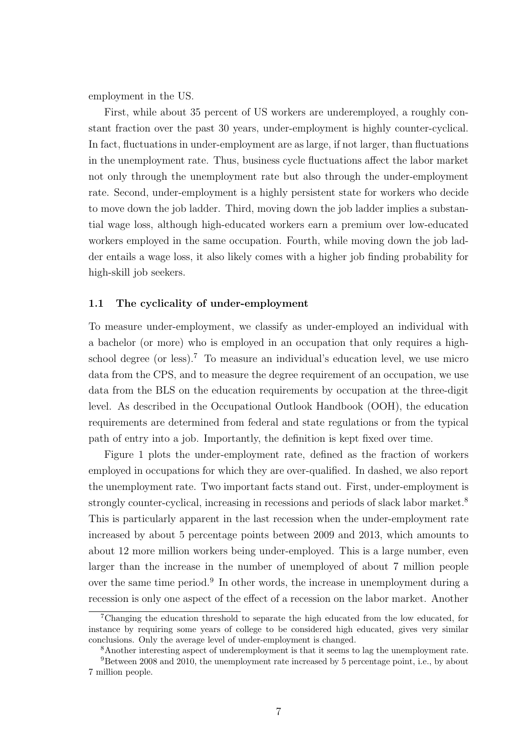employment in the US.

First, while about 35 percent of US workers are underemployed, a roughly constant fraction over the past 30 years, under-employment is highly counter-cyclical. In fact, fluctuations in under-employment are as large, if not larger, than fluctuations in the unemployment rate. Thus, business cycle fluctuations affect the labor market not only through the unemployment rate but also through the under-employment rate. Second, under-employment is a highly persistent state for workers who decide to move down the job ladder. Third, moving down the job ladder implies a substantial wage loss, although high-educated workers earn a premium over low-educated workers employed in the same occupation. Fourth, while moving down the job ladder entails a wage loss, it also likely comes with a higher job finding probability for high-skill job seekers.

# 1.1 The cyclicality of under-employment

To measure under-employment, we classify as under-employed an individual with a bachelor (or more) who is employed in an occupation that only requires a highschool degree (or less).<sup>7</sup> To measure an individual's education level, we use micro data from the CPS, and to measure the degree requirement of an occupation, we use data from the BLS on the education requirements by occupation at the three-digit level. As described in the Occupational Outlook Handbook (OOH), the education requirements are determined from federal and state regulations or from the typical path of entry into a job. Importantly, the definition is kept fixed over time.

Figure 1 plots the under-employment rate, defined as the fraction of workers employed in occupations for which they are over-qualified. In dashed, we also report the unemployment rate. Two important facts stand out. First, under-employment is strongly counter-cyclical, increasing in recessions and periods of slack labor market.<sup>8</sup> This is particularly apparent in the last recession when the under-employment rate increased by about 5 percentage points between 2009 and 2013, which amounts to about 12 more million workers being under-employed. This is a large number, even larger than the increase in the number of unemployed of about 7 million people over the same time period.<sup>9</sup> In other words, the increase in unemployment during a recession is only one aspect of the effect of a recession on the labor market. Another

<sup>7</sup>Changing the education threshold to separate the high educated from the low educated, for instance by requiring some years of college to be considered high educated, gives very similar conclusions. Only the average level of under-employment is changed.

<sup>8</sup>Another interesting aspect of underemployment is that it seems to lag the unemployment rate.

<sup>9</sup>Between 2008 and 2010, the unemployment rate increased by 5 percentage point, i.e., by about 7 million people.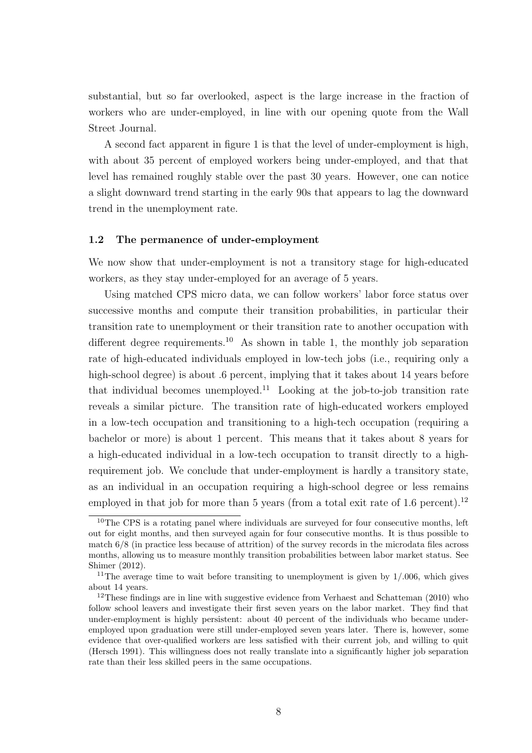substantial, but so far overlooked, aspect is the large increase in the fraction of workers who are under-employed, in line with our opening quote from the Wall Street Journal.

A second fact apparent in figure 1 is that the level of under-employment is high, with about 35 percent of employed workers being under-employed, and that that level has remained roughly stable over the past 30 years. However, one can notice a slight downward trend starting in the early 90s that appears to lag the downward trend in the unemployment rate.

# 1.2 The permanence of under-employment

We now show that under-employment is not a transitory stage for high-educated workers, as they stay under-employed for an average of 5 years.

Using matched CPS micro data, we can follow workers' labor force status over successive months and compute their transition probabilities, in particular their transition rate to unemployment or their transition rate to another occupation with different degree requirements.<sup>10</sup> As shown in table 1, the monthly job separation rate of high-educated individuals employed in low-tech jobs (i.e., requiring only a high-school degree) is about .6 percent, implying that it takes about 14 years before that individual becomes unemployed.<sup>11</sup> Looking at the job-to-job transition rate reveals a similar picture. The transition rate of high-educated workers employed in a low-tech occupation and transitioning to a high-tech occupation (requiring a bachelor or more) is about 1 percent. This means that it takes about 8 years for a high-educated individual in a low-tech occupation to transit directly to a highrequirement job. We conclude that under-employment is hardly a transitory state, as an individual in an occupation requiring a high-school degree or less remains employed in that job for more than 5 years (from a total exit rate of 1.6 percent).<sup>12</sup>

<sup>&</sup>lt;sup>10</sup>The CPS is a rotating panel where individuals are surveyed for four consecutive months, left out for eight months, and then surveyed again for four consecutive months. It is thus possible to match 6/8 (in practice less because of attrition) of the survey records in the microdata files across months, allowing us to measure monthly transition probabilities between labor market status. See Shimer (2012).

<sup>&</sup>lt;sup>11</sup>The average time to wait before transiting to unemployment is given by  $1/.006$ , which gives about 14 years.

<sup>&</sup>lt;sup>12</sup>These findings are in line with suggestive evidence from Verhaest and Schatteman  $(2010)$  who follow school leavers and investigate their first seven years on the labor market. They find that under-employment is highly persistent: about 40 percent of the individuals who became underemployed upon graduation were still under-employed seven years later. There is, however, some evidence that over-qualified workers are less satisfied with their current job, and willing to quit (Hersch 1991). This willingness does not really translate into a significantly higher job separation rate than their less skilled peers in the same occupations.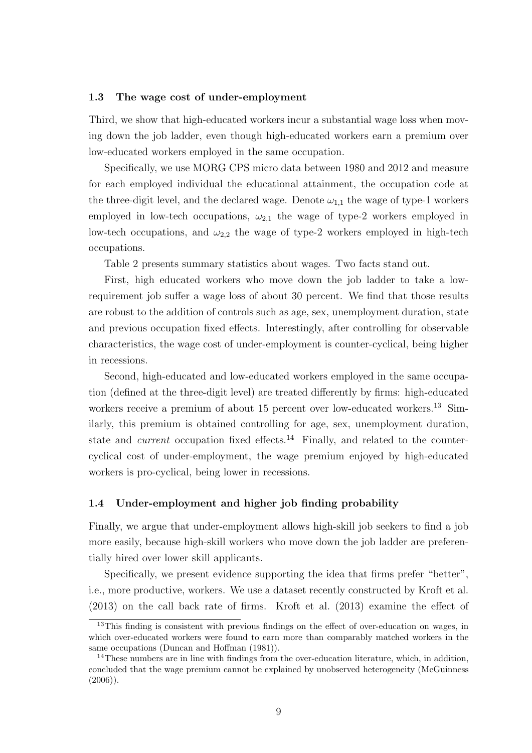# 1.3 The wage cost of under-employment

Third, we show that high-educated workers incur a substantial wage loss when moving down the job ladder, even though high-educated workers earn a premium over low-educated workers employed in the same occupation.

Specifically, we use MORG CPS micro data between 1980 and 2012 and measure for each employed individual the educational attainment, the occupation code at the three-digit level, and the declared wage. Denote  $\omega_{1,1}$  the wage of type-1 workers employed in low-tech occupations,  $\omega_{2,1}$  the wage of type-2 workers employed in low-tech occupations, and  $\omega_{2,2}$  the wage of type-2 workers employed in high-tech occupations.

Table 2 presents summary statistics about wages. Two facts stand out.

First, high educated workers who move down the job ladder to take a lowrequirement job suffer a wage loss of about 30 percent. We find that those results are robust to the addition of controls such as age, sex, unemployment duration, state and previous occupation fixed effects. Interestingly, after controlling for observable characteristics, the wage cost of under-employment is counter-cyclical, being higher in recessions.

Second, high-educated and low-educated workers employed in the same occupation (defined at the three-digit level) are treated differently by firms: high-educated workers receive a premium of about 15 percent over low-educated workers.<sup>13</sup> Similarly, this premium is obtained controlling for age, sex, unemployment duration, state and *current* occupation fixed effects.<sup>14</sup> Finally, and related to the countercyclical cost of under-employment, the wage premium enjoyed by high-educated workers is pro-cyclical, being lower in recessions.

# 1.4 Under-employment and higher job finding probability

Finally, we argue that under-employment allows high-skill job seekers to find a job more easily, because high-skill workers who move down the job ladder are preferentially hired over lower skill applicants.

Specifically, we present evidence supporting the idea that firms prefer "better", i.e., more productive, workers. We use a dataset recently constructed by Kroft et al. (2013) on the call back rate of firms. Kroft et al. (2013) examine the effect of

<sup>&</sup>lt;sup>13</sup>This finding is consistent with previous findings on the effect of over-education on wages, in which over-educated workers were found to earn more than comparably matched workers in the same occupations (Duncan and Hoffman (1981)).

 $14$ These numbers are in line with findings from the over-education literature, which, in addition, concluded that the wage premium cannot be explained by unobserved heterogeneity (McGuinness  $(2006)$ ).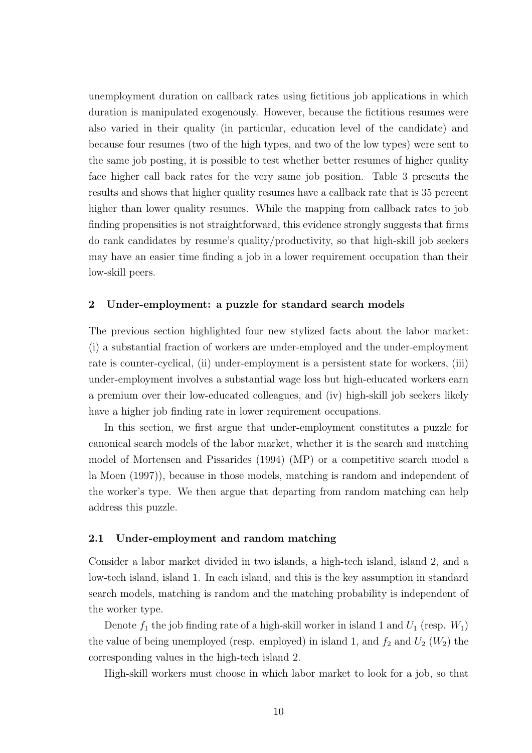unemployment duration on callback rates using fictitious job applications in which duration is manipulated exogenously. However, because the fictitious resumes were also varied in their quality (in particular, education level of the candidate) and because four resumes (two of the high types, and two of the low types) were sent to the same job posting, it is possible to test whether better resumes of higher quality face higher call back rates for the very same job position. Table 3 presents the results and shows that higher quality resumes have a callback rate that is 35 percent higher than lower quality resumes. While the mapping from callback rates to job finding propensities is not straightforward, this evidence strongly suggests that firms do rank candidates by resume's quality/productivity, so that high-skill job seekers may have an easier time finding a job in a lower requirement occupation than their low-skill peers.

# 2 Under-employment: a puzzle for standard search models

The previous section highlighted four new stylized facts about the labor market: (i) a substantial fraction of workers are under-employed and the under-employment rate is counter-cyclical, (ii) under-employment is a persistent state for workers, (iii) under-employment involves a substantial wage loss but high-educated workers earn a premium over their low-educated colleagues, and (iv) high-skill job seekers likely have a higher job finding rate in lower requirement occupations.

In this section, we first argue that under-employment constitutes a puzzle for canonical search models of the labor market, whether it is the search and matching model of Mortensen and Pissarides (1994) (MP) or a competitive search model a la Moen (1997)), because in those models, matching is random and independent of the worker's type. We then argue that departing from random matching can help address this puzzle.

# 2.1 Under-employment and random matching

Consider a labor market divided in two islands, a high-tech island, island 2, and a low-tech island, island 1. In each island, and this is the key assumption in standard search models, matching is random and the matching probability is independent of the worker type.

Denote  $f_1$  the job finding rate of a high-skill worker in island 1 and  $U_1$  (resp.  $W_1$ ) the value of being unemployed (resp. employed) in island 1, and  $f_2$  and  $U_2$  ( $W_2$ ) the corresponding values in the high-tech island 2.

High-skill workers must choose in which labor market to look for a job, so that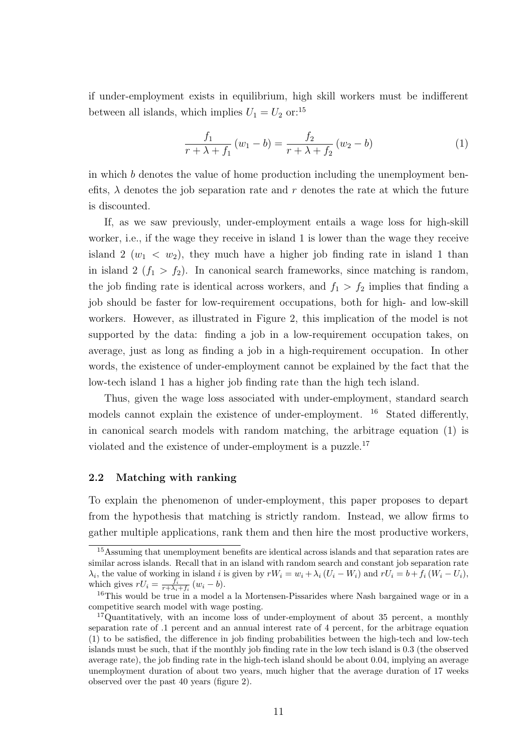if under-employment exists in equilibrium, high skill workers must be indifferent between all islands, which implies  $U_1 = U_2$  or:<sup>15</sup>

$$
\frac{f_1}{r + \lambda + f_1} (w_1 - b) = \frac{f_2}{r + \lambda + f_2} (w_2 - b)
$$
 (1)

in which b denotes the value of home production including the unemployment benefits,  $\lambda$  denotes the job separation rate and r denotes the rate at which the future is discounted.

If, as we saw previously, under-employment entails a wage loss for high-skill worker, i.e., if the wage they receive in island 1 is lower than the wage they receive island 2  $(w_1 \, < w_2)$ , they much have a higher job finding rate in island 1 than in island 2  $(f_1 > f_2)$ . In canonical search frameworks, since matching is random, the job finding rate is identical across workers, and  $f_1 > f_2$  implies that finding a job should be faster for low-requirement occupations, both for high- and low-skill workers. However, as illustrated in Figure 2, this implication of the model is not supported by the data: finding a job in a low-requirement occupation takes, on average, just as long as finding a job in a high-requirement occupation. In other words, the existence of under-employment cannot be explained by the fact that the low-tech island 1 has a higher job finding rate than the high tech island.

Thus, given the wage loss associated with under-employment, standard search models cannot explain the existence of under-employment. <sup>16</sup> Stated differently, in canonical search models with random matching, the arbitrage equation (1) is violated and the existence of under-employment is a puzzle.<sup>17</sup>

# 2.2 Matching with ranking

To explain the phenomenon of under-employment, this paper proposes to depart from the hypothesis that matching is strictly random. Instead, we allow firms to gather multiple applications, rank them and then hire the most productive workers,

<sup>&</sup>lt;sup>15</sup> Assuming that unemployment benefits are identical across islands and that separation rates are similar across islands. Recall that in an island with random search and constant job separation rate  $\lambda_i$ , the value of working in island i is given by  $rW_i = w_i + \lambda_i (U_i - W_i)$  and  $rU_i = b + f_i (W_i - U_i)$ , which gives  $rU_i = \frac{f_i}{r + \lambda_i + f_i} (w_i - b)$ .

<sup>16</sup>This would be true in a model a la Mortensen-Pissarides where Nash bargained wage or in a competitive search model with wage posting.

<sup>&</sup>lt;sup>17</sup>Quantitatively, with an income loss of under-employment of about 35 percent, a monthly separation rate of .1 percent and an annual interest rate of 4 percent, for the arbitrage equation (1) to be satisfied, the difference in job finding probabilities between the high-tech and low-tech islands must be such, that if the monthly job finding rate in the low tech island is 0.3 (the observed average rate), the job finding rate in the high-tech island should be about 0.04, implying an average unemployment duration of about two years, much higher that the average duration of 17 weeks observed over the past 40 years (figure 2).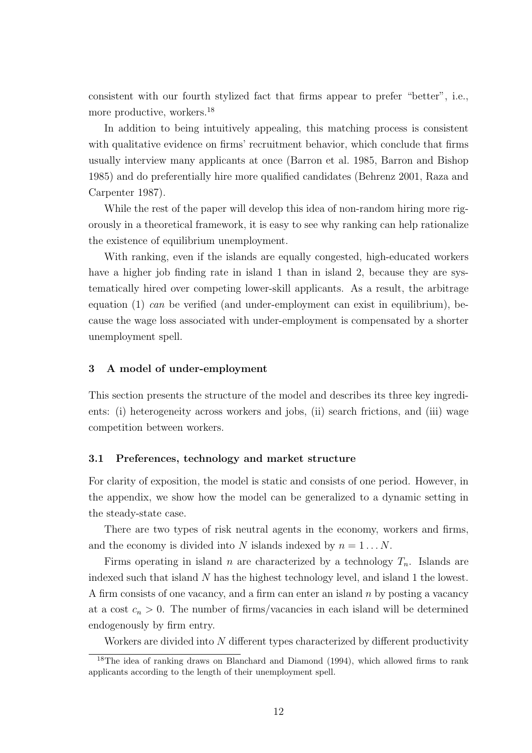consistent with our fourth stylized fact that firms appear to prefer "better", i.e., more productive, workers.<sup>18</sup>

In addition to being intuitively appealing, this matching process is consistent with qualitative evidence on firms' recruitment behavior, which conclude that firms usually interview many applicants at once (Barron et al. 1985, Barron and Bishop 1985) and do preferentially hire more qualified candidates (Behrenz 2001, Raza and Carpenter 1987).

While the rest of the paper will develop this idea of non-random hiring more rigorously in a theoretical framework, it is easy to see why ranking can help rationalize the existence of equilibrium unemployment.

With ranking, even if the islands are equally congested, high-educated workers have a higher job finding rate in island 1 than in island 2, because they are systematically hired over competing lower-skill applicants. As a result, the arbitrage equation  $(1)$  can be verified (and under-employment can exist in equilibrium), because the wage loss associated with under-employment is compensated by a shorter unemployment spell.

# 3 A model of under-employment

This section presents the structure of the model and describes its three key ingredients: (i) heterogeneity across workers and jobs, (ii) search frictions, and (iii) wage competition between workers.

# 3.1 Preferences, technology and market structure

For clarity of exposition, the model is static and consists of one period. However, in the appendix, we show how the model can be generalized to a dynamic setting in the steady-state case.

There are two types of risk neutral agents in the economy, workers and firms, and the economy is divided into N islands indexed by  $n = 1...N$ .

Firms operating in island n are characterized by a technology  $T_n$ . Islands are indexed such that island N has the highest technology level, and island 1 the lowest. A firm consists of one vacancy, and a firm can enter an island  $n$  by posting a vacancy at a cost  $c_n > 0$ . The number of firms/vacancies in each island will be determined endogenously by firm entry.

Workers are divided into N different types characterized by different productivity

<sup>&</sup>lt;sup>18</sup>The idea of ranking draws on Blanchard and Diamond (1994), which allowed firms to rank applicants according to the length of their unemployment spell.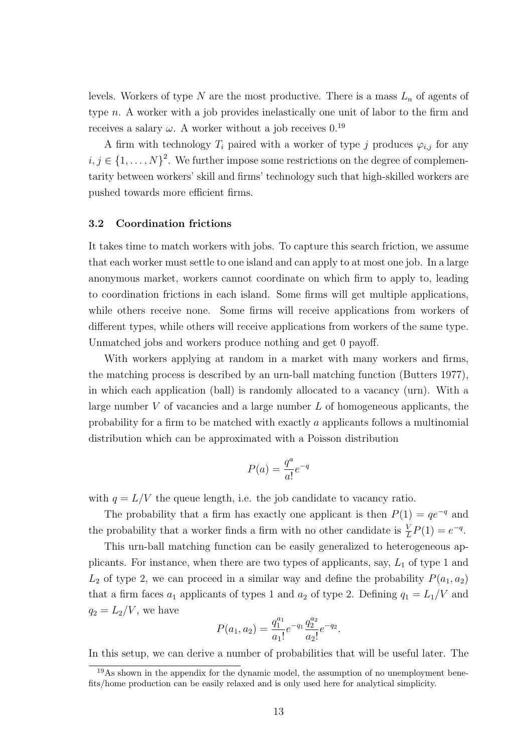levels. Workers of type N are the most productive. There is a mass  $L_n$  of agents of type n. A worker with a job provides inelastically one unit of labor to the firm and receives a salary  $\omega$ . A worker without a job receives 0.<sup>19</sup>

A firm with technology  $T_i$  paired with a worker of type j produces  $\varphi_{i,j}$  for any  $i, j \in \{1, \ldots, N\}^2$ . We further impose some restrictions on the degree of complementarity between workers' skill and firms' technology such that high-skilled workers are pushed towards more efficient firms.

# 3.2 Coordination frictions

It takes time to match workers with jobs. To capture this search friction, we assume that each worker must settle to one island and can apply to at most one job. In a large anonymous market, workers cannot coordinate on which firm to apply to, leading to coordination frictions in each island. Some firms will get multiple applications, while others receive none. Some firms will receive applications from workers of different types, while others will receive applications from workers of the same type. Unmatched jobs and workers produce nothing and get 0 payoff.

With workers applying at random in a market with many workers and firms, the matching process is described by an urn-ball matching function (Butters 1977), in which each application (ball) is randomly allocated to a vacancy (urn). With a large number  $V$  of vacancies and a large number  $L$  of homogeneous applicants, the probability for a firm to be matched with exactly a applicants follows a multinomial distribution which can be approximated with a Poisson distribution

$$
P(a) = \frac{q^a}{a!}e^{-q}
$$

with  $q = L/V$  the queue length, i.e. the job candidate to vacancy ratio.

The probability that a firm has exactly one applicant is then  $P(1) = qe^{-q}$  and the probability that a worker finds a firm with no other candidate is  $\frac{V}{L}P(1) = e^{-q}$ .

This urn-ball matching function can be easily generalized to heterogeneous applicants. For instance, when there are two types of applicants, say,  $L_1$  of type 1 and  $L_2$  of type 2, we can proceed in a similar way and define the probability  $P(a_1, a_2)$ that a firm faces  $a_1$  applicants of types 1 and  $a_2$  of type 2. Defining  $q_1 = L_1/V$  and  $q_2 = L_2/V$ , we have

$$
P(a_1, a_2) = \frac{q_1^{a_1}}{a_1!} e^{-q_1} \frac{q_2^{a_2}}{a_2!} e^{-q_2}.
$$

In this setup, we can derive a number of probabilities that will be useful later. The

<sup>&</sup>lt;sup>19</sup>As shown in the appendix for the dynamic model, the assumption of no unemployment benefits/home production can be easily relaxed and is only used here for analytical simplicity.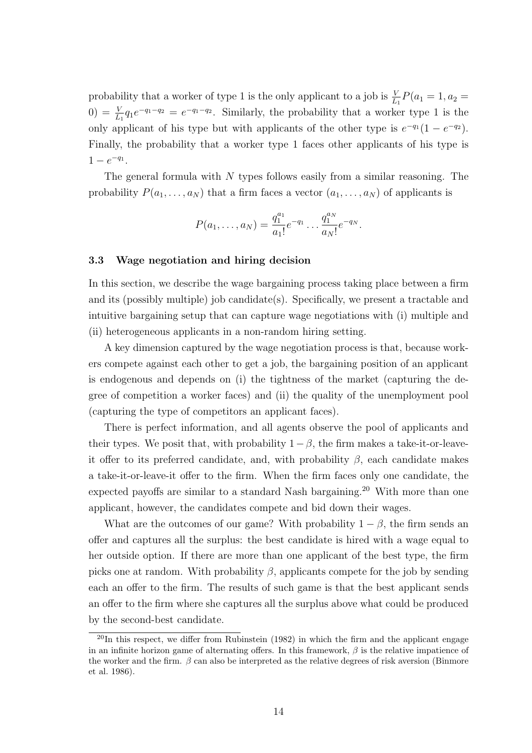probability that a worker of type 1 is the only applicant to a job is  $\frac{V}{L_1}P(a_1 = 1, a_2 =$ 0) =  $\frac{V}{L_1}q_1e^{-q_1-q_2} = e^{-q_1-q_2}$ . Similarly, the probability that a worker type 1 is the only applicant of his type but with applicants of the other type is  $e^{-q_1}(1 - e^{-q_2})$ . Finally, the probability that a worker type 1 faces other applicants of his type is  $1 - e^{-q_1}.$ 

The general formula with  $N$  types follows easily from a similar reasoning. The probability  $P(a_1, \ldots, a_N)$  that a firm faces a vector  $(a_1, \ldots, a_N)$  of applicants is

$$
P(a_1,\ldots,a_N)=\frac{q_1^{a_1}}{a_1!}e^{-q_1}\ldots\frac{q_1^{a_N}}{a_N!}e^{-q_N}.
$$

# 3.3 Wage negotiation and hiring decision

In this section, we describe the wage bargaining process taking place between a firm and its (possibly multiple) job candidate(s). Specifically, we present a tractable and intuitive bargaining setup that can capture wage negotiations with (i) multiple and (ii) heterogeneous applicants in a non-random hiring setting.

A key dimension captured by the wage negotiation process is that, because workers compete against each other to get a job, the bargaining position of an applicant is endogenous and depends on (i) the tightness of the market (capturing the degree of competition a worker faces) and (ii) the quality of the unemployment pool (capturing the type of competitors an applicant faces).

There is perfect information, and all agents observe the pool of applicants and their types. We posit that, with probability  $1 - \beta$ , the firm makes a take-it-or-leaveit offer to its preferred candidate, and, with probability  $\beta$ , each candidate makes a take-it-or-leave-it offer to the firm. When the firm faces only one candidate, the expected payoffs are similar to a standard Nash bargaining.<sup>20</sup> With more than one applicant, however, the candidates compete and bid down their wages.

What are the outcomes of our game? With probability  $1 - \beta$ , the firm sends an offer and captures all the surplus: the best candidate is hired with a wage equal to her outside option. If there are more than one applicant of the best type, the firm picks one at random. With probability  $\beta$ , applicants compete for the job by sending each an offer to the firm. The results of such game is that the best applicant sends an offer to the firm where she captures all the surplus above what could be produced by the second-best candidate.

 $^{20}$ In this respect, we differ from Rubinstein (1982) in which the firm and the applicant engage in an infinite horizon game of alternating offers. In this framework,  $\beta$  is the relative impatience of the worker and the firm.  $\beta$  can also be interpreted as the relative degrees of risk aversion (Binmore et al. 1986).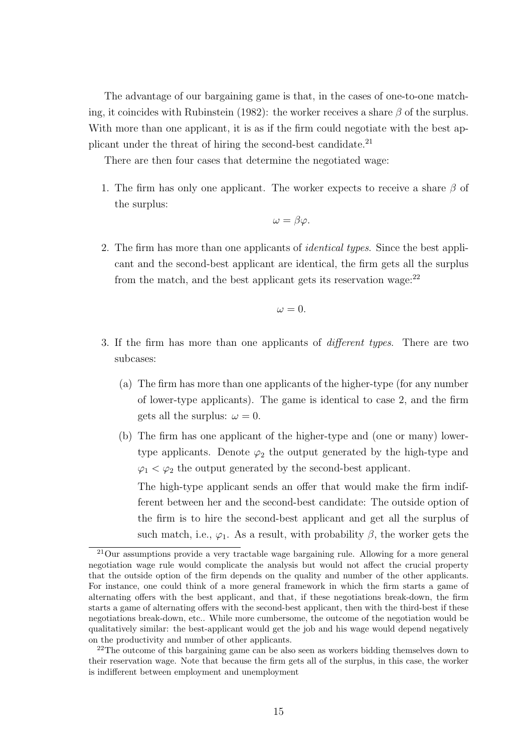The advantage of our bargaining game is that, in the cases of one-to-one matching, it coincides with Rubinstein (1982): the worker receives a share  $\beta$  of the surplus. With more than one applicant, it is as if the firm could negotiate with the best applicant under the threat of hiring the second-best candidate.<sup>21</sup>

There are then four cases that determine the negotiated wage:

1. The firm has only one applicant. The worker expects to receive a share  $\beta$  of the surplus:

$$
\omega = \beta \varphi.
$$

2. The firm has more than one applicants of *identical types*. Since the best applicant and the second-best applicant are identical, the firm gets all the surplus from the match, and the best applicant gets its reservation wage: $^{22}$ 

$$
\omega = 0.
$$

- 3. If the firm has more than one applicants of different types. There are two subcases:
	- (a) The firm has more than one applicants of the higher-type (for any number of lower-type applicants). The game is identical to case 2, and the firm gets all the surplus:  $\omega = 0$ .
	- (b) The firm has one applicant of the higher-type and (one or many) lowertype applicants. Denote  $\varphi_2$  the output generated by the high-type and  $\varphi_1 < \varphi_2$  the output generated by the second-best applicant. The high-type applicant sends an offer that would make the firm indifferent between her and the second-best candidate: The outside option of

the firm is to hire the second-best applicant and get all the surplus of such match, i.e.,  $\varphi_1$ . As a result, with probability  $\beta$ , the worker gets the

 $^{21}$ Our assumptions provide a very tractable wage bargaining rule. Allowing for a more general negotiation wage rule would complicate the analysis but would not affect the crucial property that the outside option of the firm depends on the quality and number of the other applicants. For instance, one could think of a more general framework in which the firm starts a game of alternating offers with the best applicant, and that, if these negotiations break-down, the firm starts a game of alternating offers with the second-best applicant, then with the third-best if these negotiations break-down, etc.. While more cumbersome, the outcome of the negotiation would be qualitatively similar: the best-applicant would get the job and his wage would depend negatively on the productivity and number of other applicants.

<sup>&</sup>lt;sup>22</sup>The outcome of this bargaining game can be also seen as workers bidding themselves down to their reservation wage. Note that because the firm gets all of the surplus, in this case, the worker is indifferent between employment and unemployment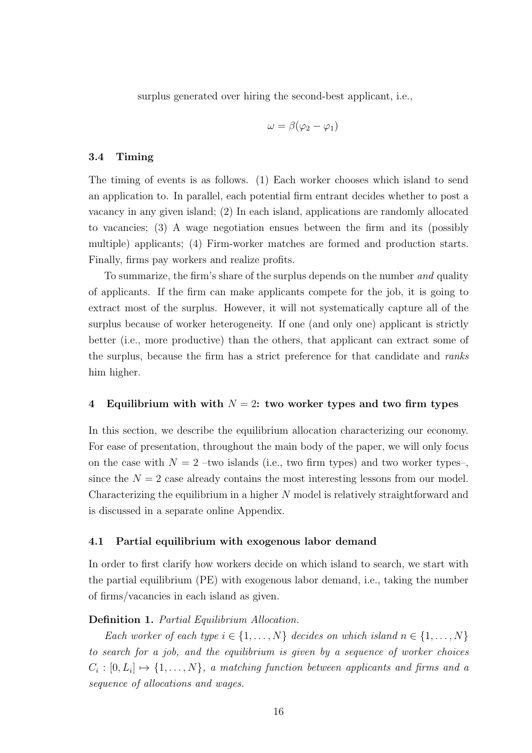surplus generated over hiring the second-best applicant, i.e.,

$$
\omega = \beta(\varphi_2 - \varphi_1)
$$

# 3.4 Timing

The timing of events is as follows. (1) Each worker chooses which island to send an application to. In parallel, each potential firm entrant decides whether to post a vacancy in any given island; (2) In each island, applications are randomly allocated to vacancies; (3) A wage negotiation ensues between the firm and its (possibly multiple) applicants; (4) Firm-worker matches are formed and production starts. Finally, firms pay workers and realize profits.

To summarize, the firm's share of the surplus depends on the number and quality of applicants. If the firm can make applicants compete for the job, it is going to extract most of the surplus. However, it will not systematically capture all of the surplus because of worker heterogeneity. If one (and only one) applicant is strictly better (i.e., more productive) than the others, that applicant can extract some of the surplus, because the firm has a strict preference for that candidate and ranks him higher.

# 4 Equilibrium with with  $N = 2$ : two worker types and two firm types

In this section, we describe the equilibrium allocation characterizing our economy. For ease of presentation, throughout the main body of the paper, we will only focus on the case with  $N = 2$  –two islands (i.e., two firm types) and two worker types–, since the  $N = 2$  case already contains the most interesting lessons from our model. Characterizing the equilibrium in a higher N model is relatively straightforward and is discussed in a separate online Appendix.

# 4.1 Partial equilibrium with exogenous labor demand

In order to first clarify how workers decide on which island to search, we start with the partial equilibrium (PE) with exogenous labor demand, i.e., taking the number of firms/vacancies in each island as given.

# Definition 1. Partial Equilibrium Allocation.

Each worker of each type  $i \in \{1, \ldots, N\}$  decides on which island  $n \in \{1, \ldots, N\}$ to search for a job, and the equilibrium is given by a sequence of worker choices  $C_i: [0, L_i] \mapsto \{1, \ldots, N\},$  a matching function between applicants and firms and a sequence of allocations and wages.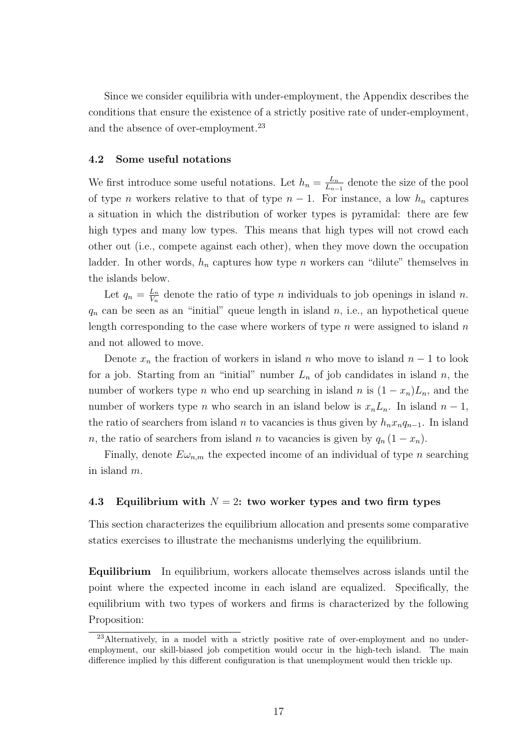Since we consider equilibria with under-employment, the Appendix describes the conditions that ensure the existence of a strictly positive rate of under-employment, and the absence of over-employment.<sup>23</sup>

# 4.2 Some useful notations

We first introduce some useful notations. Let  $h_n = \frac{L_n}{L_n}$  $\frac{L_n}{L_{n-1}}$  denote the size of the pool of type n workers relative to that of type  $n-1$ . For instance, a low  $h_n$  captures a situation in which the distribution of worker types is pyramidal: there are few high types and many low types. This means that high types will not crowd each other out (i.e., compete against each other), when they move down the occupation ladder. In other words,  $h_n$  captures how type n workers can "dilute" themselves in the islands below.

Let  $q_n = \frac{L_n}{V_n}$  $\frac{L_n}{V_n}$  denote the ratio of type *n* individuals to job openings in island *n*.  $q_n$  can be seen as an "initial" queue length in island  $n$ , i.e., an hypothetical queue length corresponding to the case where workers of type  $n$  were assigned to island  $n$ and not allowed to move.

Denote  $x_n$  the fraction of workers in island n who move to island  $n-1$  to look for a job. Starting from an "initial" number  $L_n$  of job candidates in island n, the number of workers type *n* who end up searching in island *n* is  $(1 - x_n)L_n$ , and the number of workers type *n* who search in an island below is  $x_nL_n$ . In island  $n-1$ , the ratio of searchers from island *n* to vacancies is thus given by  $h_nx_nq_{n-1}$ . In island n, the ratio of searchers from island n to vacancies is given by  $q_n (1 - x_n)$ .

Finally, denote  $E\omega_{n,m}$  the expected income of an individual of type n searching in island m.

# 4.3 Equilibrium with  $N = 2$ : two worker types and two firm types

This section characterizes the equilibrium allocation and presents some comparative statics exercises to illustrate the mechanisms underlying the equilibrium.

Equilibrium In equilibrium, workers allocate themselves across islands until the point where the expected income in each island are equalized. Specifically, the equilibrium with two types of workers and firms is characterized by the following Proposition:

<sup>23</sup>Alternatively, in a model with a strictly positive rate of over-employment and no underemployment, our skill-biased job competition would occur in the high-tech island. The main difference implied by this different configuration is that unemployment would then trickle up.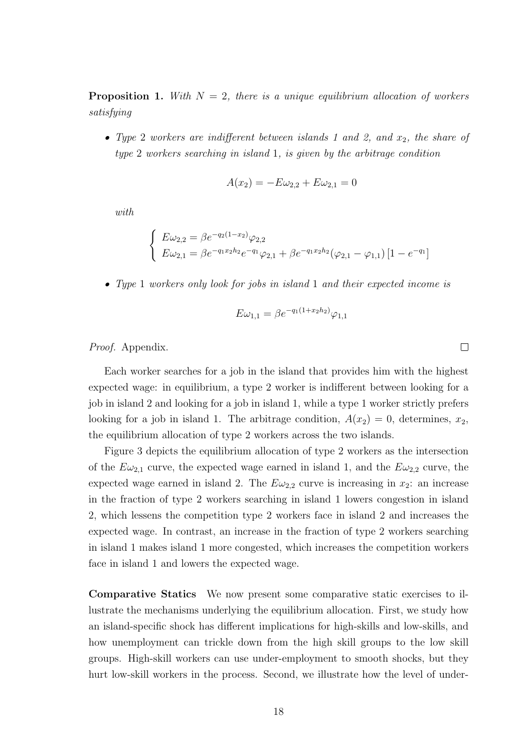**Proposition 1.** With  $N = 2$ , there is a unique equilibrium allocation of workers satisfying

• Type 2 workers are indifferent between islands 1 and 2, and  $x_2$ , the share of type 2 workers searching in island 1, is given by the arbitrage condition

$$
A(x_2) = -E\omega_{2,2} + E\omega_{2,1} = 0
$$

with

$$
\begin{cases}\nE\omega_{2,2} = \beta e^{-q_2(1-x_2)} \varphi_{2,2} \\
E\omega_{2,1} = \beta e^{-q_1x_2h_2} e^{-q_1} \varphi_{2,1} + \beta e^{-q_1x_2h_2} (\varphi_{2,1} - \varphi_{1,1}) \left[1 - e^{-q_1}\right]\n\end{cases}
$$

• Type 1 workers only look for jobs in island 1 and their expected income is

$$
E\omega_{1,1} = \beta e^{-q_1(1+x_2h_2)}\varphi_{1,1}
$$

Proof. Appendix.

Each worker searches for a job in the island that provides him with the highest expected wage: in equilibrium, a type 2 worker is indifferent between looking for a job in island 2 and looking for a job in island 1, while a type 1 worker strictly prefers looking for a job in island 1. The arbitrage condition,  $A(x_2) = 0$ , determines,  $x_2$ , the equilibrium allocation of type 2 workers across the two islands.

Figure 3 depicts the equilibrium allocation of type 2 workers as the intersection of the  $E\omega_{2,1}$  curve, the expected wage earned in island 1, and the  $E\omega_{2,2}$  curve, the expected wage earned in island 2. The  $E\omega_{2,2}$  curve is increasing in  $x_2$ : an increase in the fraction of type 2 workers searching in island 1 lowers congestion in island 2, which lessens the competition type 2 workers face in island 2 and increases the expected wage. In contrast, an increase in the fraction of type 2 workers searching in island 1 makes island 1 more congested, which increases the competition workers face in island 1 and lowers the expected wage.

Comparative Statics We now present some comparative static exercises to illustrate the mechanisms underlying the equilibrium allocation. First, we study how an island-specific shock has different implications for high-skills and low-skills, and how unemployment can trickle down from the high skill groups to the low skill groups. High-skill workers can use under-employment to smooth shocks, but they hurt low-skill workers in the process. Second, we illustrate how the level of under-

 $\Box$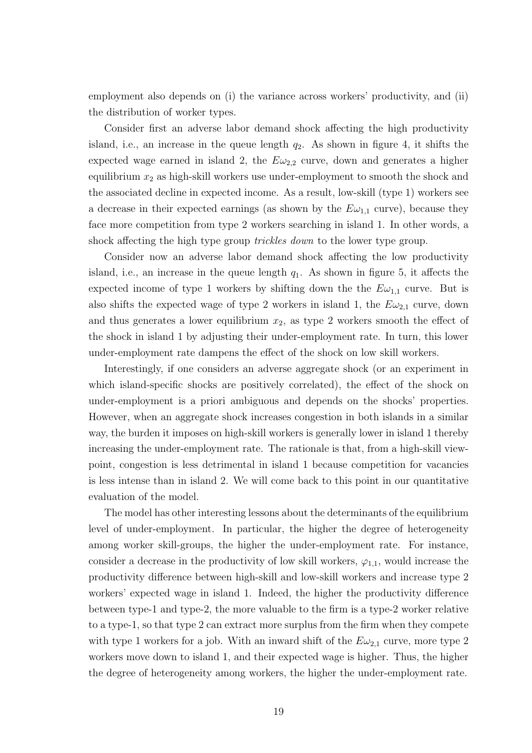employment also depends on (i) the variance across workers' productivity, and (ii) the distribution of worker types.

Consider first an adverse labor demand shock affecting the high productivity island, i.e., an increase in the queue length  $q_2$ . As shown in figure 4, it shifts the expected wage earned in island 2, the  $E\omega_{2,2}$  curve, down and generates a higher equilibrium  $x_2$  as high-skill workers use under-employment to smooth the shock and the associated decline in expected income. As a result, low-skill (type 1) workers see a decrease in their expected earnings (as shown by the  $E\omega_{1,1}$  curve), because they face more competition from type 2 workers searching in island 1. In other words, a shock affecting the high type group *trickles down* to the lower type group.

Consider now an adverse labor demand shock affecting the low productivity island, i.e., an increase in the queue length  $q_1$ . As shown in figure 5, it affects the expected income of type 1 workers by shifting down the the  $E\omega_{1,1}$  curve. But is also shifts the expected wage of type 2 workers in island 1, the  $E\omega_{2,1}$  curve, down and thus generates a lower equilibrium  $x_2$ , as type 2 workers smooth the effect of the shock in island 1 by adjusting their under-employment rate. In turn, this lower under-employment rate dampens the effect of the shock on low skill workers.

Interestingly, if one considers an adverse aggregate shock (or an experiment in which island-specific shocks are positively correlated), the effect of the shock on under-employment is a priori ambiguous and depends on the shocks' properties. However, when an aggregate shock increases congestion in both islands in a similar way, the burden it imposes on high-skill workers is generally lower in island 1 thereby increasing the under-employment rate. The rationale is that, from a high-skill viewpoint, congestion is less detrimental in island 1 because competition for vacancies is less intense than in island 2. We will come back to this point in our quantitative evaluation of the model.

The model has other interesting lessons about the determinants of the equilibrium level of under-employment. In particular, the higher the degree of heterogeneity among worker skill-groups, the higher the under-employment rate. For instance, consider a decrease in the productivity of low skill workers,  $\varphi_{1,1}$ , would increase the productivity difference between high-skill and low-skill workers and increase type 2 workers' expected wage in island 1. Indeed, the higher the productivity difference between type-1 and type-2, the more valuable to the firm is a type-2 worker relative to a type-1, so that type 2 can extract more surplus from the firm when they compete with type 1 workers for a job. With an inward shift of the  $E\omega_{2,1}$  curve, more type 2 workers move down to island 1, and their expected wage is higher. Thus, the higher the degree of heterogeneity among workers, the higher the under-employment rate.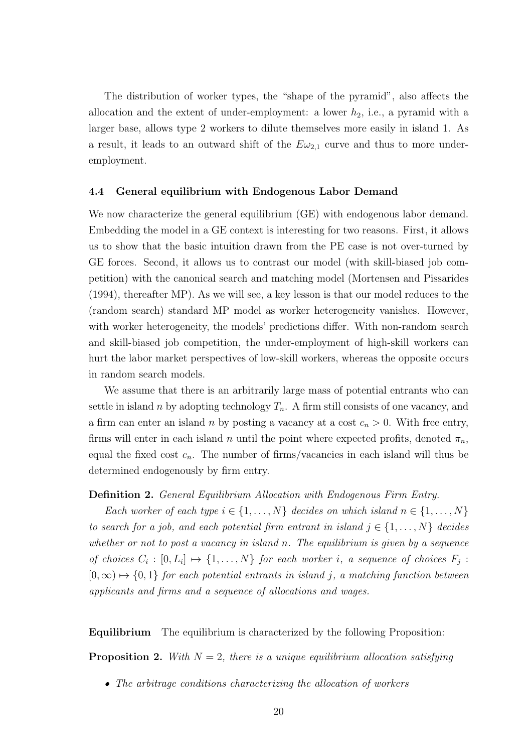The distribution of worker types, the "shape of the pyramid", also affects the allocation and the extent of under-employment: a lower  $h_2$ , i.e., a pyramid with a larger base, allows type 2 workers to dilute themselves more easily in island 1. As a result, it leads to an outward shift of the  $E\omega_{2,1}$  curve and thus to more underemployment.

## 4.4 General equilibrium with Endogenous Labor Demand

We now characterize the general equilibrium (GE) with endogenous labor demand. Embedding the model in a GE context is interesting for two reasons. First, it allows us to show that the basic intuition drawn from the PE case is not over-turned by GE forces. Second, it allows us to contrast our model (with skill-biased job competition) with the canonical search and matching model (Mortensen and Pissarides (1994), thereafter MP). As we will see, a key lesson is that our model reduces to the (random search) standard MP model as worker heterogeneity vanishes. However, with worker heterogeneity, the models' predictions differ. With non-random search and skill-biased job competition, the under-employment of high-skill workers can hurt the labor market perspectives of low-skill workers, whereas the opposite occurs in random search models.

We assume that there is an arbitrarily large mass of potential entrants who can settle in island n by adopting technology  $T_n$ . A firm still consists of one vacancy, and a firm can enter an island n by posting a vacancy at a cost  $c_n > 0$ . With free entry, firms will enter in each island n until the point where expected profits, denoted  $\pi_n$ , equal the fixed cost  $c_n$ . The number of firms/vacancies in each island will thus be determined endogenously by firm entry.

# Definition 2. General Equilibrium Allocation with Endogenous Firm Entry.

Each worker of each type  $i \in \{1, \ldots, N\}$  decides on which island  $n \in \{1, \ldots, N\}$ to search for a job, and each potential firm entrant in island  $j \in \{1, \ldots, N\}$  decides whether or not to post a vacancy in island n. The equilibrium is given by a sequence of choices  $C_i : [0, L_i] \mapsto \{1, ..., N\}$  for each worker i, a sequence of choices  $F_j$ :  $[0, \infty) \mapsto \{0, 1\}$  for each potential entrants in island j, a matching function between applicants and firms and a sequence of allocations and wages.

Equilibrium The equilibrium is characterized by the following Proposition:

**Proposition 2.** With  $N = 2$ , there is a unique equilibrium allocation satisfying

• The arbitrage conditions characterizing the allocation of workers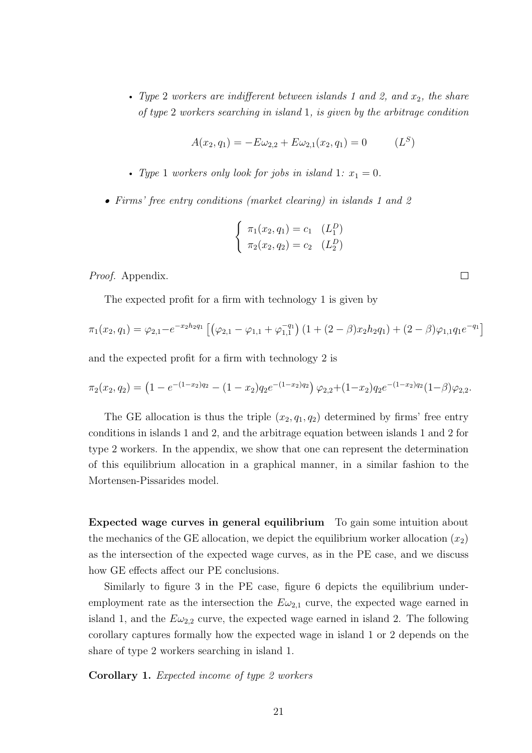• Type 2 workers are indifferent between islands 1 and 2, and  $x_2$ , the share of type 2 workers searching in island 1, is given by the arbitrage condition

$$
A(x_2, q_1) = -E\omega_{2,2} + E\omega_{2,1}(x_2, q_1) = 0 \qquad (L^S)
$$

- Type 1 workers only look for jobs in island 1:  $x_1 = 0$ .
- Firms' free entry conditions (market clearing) in islands 1 and 2

$$
\begin{cases} \pi_1(x_2, q_1) = c_1 & (L_1^D) \\ \pi_2(x_2, q_2) = c_2 & (L_2^D) \end{cases}
$$

Proof. Appendix.

The expected profit for a firm with technology 1 is given by

$$
\pi_1(x_2, q_1) = \varphi_{2,1} - e^{-x_2 h_2 q_1} \left[ \left( \varphi_{2,1} - \varphi_{1,1} + \varphi_{1,1}^{-q_1} \right) \left( 1 + (2 - \beta) x_2 h_2 q_1 \right) + (2 - \beta) \varphi_{1,1} q_1 e^{-q_1} \right]
$$

and the expected profit for a firm with technology 2 is

$$
\pi_2(x_2,q_2) = \left(1 - e^{-(1-x_2)q_2} - (1-x_2)q_2 e^{-(1-x_2)q_2}\right) \varphi_{2,2} + (1-x_2)q_2 e^{-(1-x_2)q_2} (1-\beta)\varphi_{2,2}.
$$

The GE allocation is thus the triple  $(x_2, q_1, q_2)$  determined by firms' free entry conditions in islands 1 and 2, and the arbitrage equation between islands 1 and 2 for type 2 workers. In the appendix, we show that one can represent the determination of this equilibrium allocation in a graphical manner, in a similar fashion to the Mortensen-Pissarides model.

Expected wage curves in general equilibrium To gain some intuition about the mechanics of the GE allocation, we depict the equilibrium worker allocation  $(x_2)$ as the intersection of the expected wage curves, as in the PE case, and we discuss how GE effects affect our PE conclusions.

Similarly to figure 3 in the PE case, figure 6 depicts the equilibrium underemployment rate as the intersection the  $E\omega_{2,1}$  curve, the expected wage earned in island 1, and the  $E\omega_{2,2}$  curve, the expected wage earned in island 2. The following corollary captures formally how the expected wage in island 1 or 2 depends on the share of type 2 workers searching in island 1.

Corollary 1. Expected income of type 2 workers

 $\Box$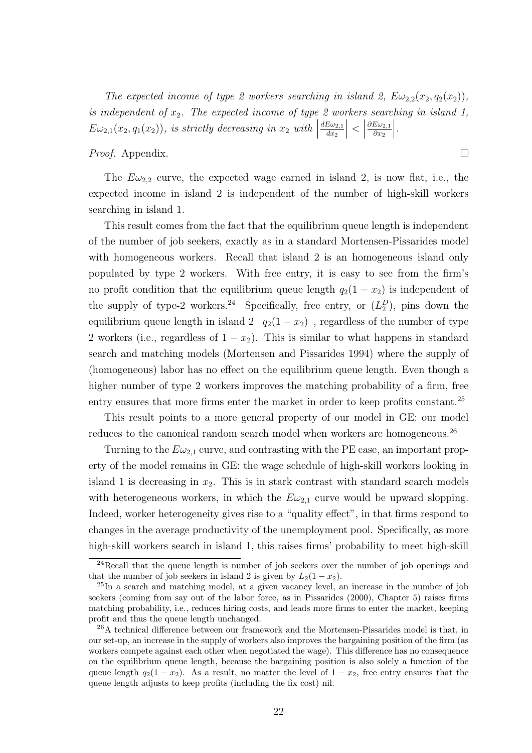The expected income of type 2 workers searching in island 2,  $E\omega_{2,2}(x_2, q_2(x_2))$ , is independent of  $x_2$ . The expected income of type 2 workers searching in island 1,  $E\omega_{2,1}(x_2, q_1(x_2))$ , is strictly decreasing in  $x_2$  with  $\Big|$  $dE\omega_{2,1}$  $dx_2$  $\begin{array}{c} \begin{array}{c} \begin{array}{c} \end{array} \\ \begin{array}{c} \end{array} \end{array} \end{array}$  $\vert$  $\partial E\omega_{2,1}$  $\partial x_2$  $\Big\}$ .

 $\Box$ 

Proof. Appendix.

The  $E\omega_{2,2}$  curve, the expected wage earned in island 2, is now flat, i.e., the expected income in island 2 is independent of the number of high-skill workers searching in island 1.

This result comes from the fact that the equilibrium queue length is independent of the number of job seekers, exactly as in a standard Mortensen-Pissarides model with homogeneous workers. Recall that island 2 is an homogeneous island only populated by type 2 workers. With free entry, it is easy to see from the firm's no profit condition that the equilibrium queue length  $q_2(1-x_2)$  is independent of the supply of type-2 workers.<sup>24</sup> Specifically, free entry, or  $(L_2^D)$ , pins down the equilibrium queue length in island  $2 - q_2(1 - x_2)$ , regardless of the number of type 2 workers (i.e., regardless of  $1 - x_2$ ). This is similar to what happens in standard search and matching models (Mortensen and Pissarides 1994) where the supply of (homogeneous) labor has no effect on the equilibrium queue length. Even though a higher number of type 2 workers improves the matching probability of a firm, free entry ensures that more firms enter the market in order to keep profits constant.<sup>25</sup>

This result points to a more general property of our model in GE: our model reduces to the canonical random search model when workers are homogeneous.<sup>26</sup>

Turning to the  $E\omega_{2,1}$  curve, and contrasting with the PE case, an important property of the model remains in GE: the wage schedule of high-skill workers looking in island 1 is decreasing in  $x_2$ . This is in stark contrast with standard search models with heterogeneous workers, in which the  $E\omega_{2,1}$  curve would be upward slopping. Indeed, worker heterogeneity gives rise to a "quality effect", in that firms respond to changes in the average productivity of the unemployment pool. Specifically, as more high-skill workers search in island 1, this raises firms' probability to meet high-skill

<sup>24</sup>Recall that the queue length is number of job seekers over the number of job openings and that the number of job seekers in island 2 is given by  $L_2(1-x_2)$ .

<sup>25</sup>In a search and matching model, at a given vacancy level, an increase in the number of job seekers (coming from say out of the labor force, as in Pissarides (2000), Chapter 5) raises firms matching probability, i.e., reduces hiring costs, and leads more firms to enter the market, keeping profit and thus the queue length unchanged.

 $^{26}$ A technical difference between our framework and the Mortensen-Pissarides model is that, in our set-up, an increase in the supply of workers also improves the bargaining position of the firm (as workers compete against each other when negotiated the wage). This difference has no consequence on the equilibrium queue length, because the bargaining position is also solely a function of the queue length  $q_2(1 - x_2)$ . As a result, no matter the level of  $1 - x_2$ , free entry ensures that the queue length adjusts to keep profits (including the fix cost) nil.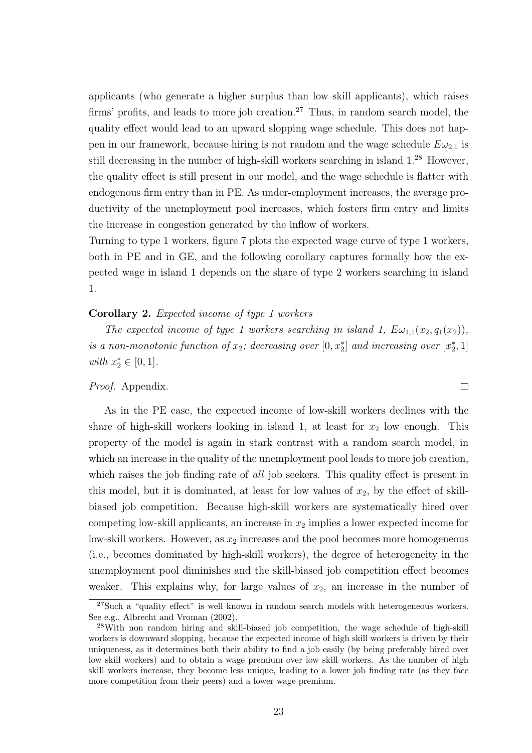applicants (who generate a higher surplus than low skill applicants), which raises firms' profits, and leads to more job creation.<sup>27</sup> Thus, in random search model, the quality effect would lead to an upward slopping wage schedule. This does not happen in our framework, because hiring is not random and the wage schedule  $E\omega_{2,1}$  is still decreasing in the number of high-skill workers searching in island 1.<sup>28</sup> However, the quality effect is still present in our model, and the wage schedule is flatter with endogenous firm entry than in PE. As under-employment increases, the average productivity of the unemployment pool increases, which fosters firm entry and limits the increase in congestion generated by the inflow of workers.

Turning to type 1 workers, figure 7 plots the expected wage curve of type 1 workers, both in PE and in GE, and the following corollary captures formally how the expected wage in island 1 depends on the share of type 2 workers searching in island 1.

# Corollary 2. Expected income of type 1 workers

The expected income of type 1 workers searching in island 1,  $E\omega_{1,1}(x_2, q_1(x_2))$ , is a non-monotonic function of  $x_2$ ; decreasing over  $[0, x_2^*]$  and increasing over  $[x_2^*, 1]$ with  $x_2^* \in [0,1]$ .

 $\Box$ 

# Proof. Appendix.

As in the PE case, the expected income of low-skill workers declines with the share of high-skill workers looking in island 1, at least for  $x_2$  low enough. This property of the model is again in stark contrast with a random search model, in which an increase in the quality of the unemployment pool leads to more job creation, which raises the job finding rate of all job seekers. This quality effect is present in this model, but it is dominated, at least for low values of  $x_2$ , by the effect of skillbiased job competition. Because high-skill workers are systematically hired over competing low-skill applicants, an increase in  $x_2$  implies a lower expected income for low-skill workers. However, as  $x_2$  increases and the pool becomes more homogeneous (i.e., becomes dominated by high-skill workers), the degree of heterogeneity in the unemployment pool diminishes and the skill-biased job competition effect becomes weaker. This explains why, for large values of  $x_2$ , an increase in the number of

<sup>27</sup>Such a "quality effect" is well known in random search models with heterogeneous workers. See e.g., Albrecht and Vroman (2002).

<sup>&</sup>lt;sup>28</sup>With non random hiring and skill-biased job competition, the wage schedule of high-skill workers is downward slopping, because the expected income of high skill workers is driven by their uniqueness, as it determines both their ability to find a job easily (by being preferably hired over low skill workers) and to obtain a wage premium over low skill workers. As the number of high skill workers increase, they become less unique, leading to a lower job finding rate (as they face more competition from their peers) and a lower wage premium.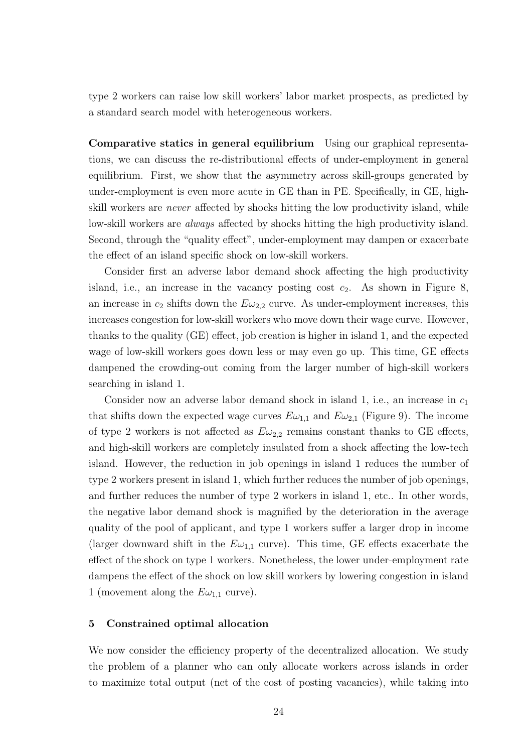type 2 workers can raise low skill workers' labor market prospects, as predicted by a standard search model with heterogeneous workers.

Comparative statics in general equilibrium Using our graphical representations, we can discuss the re-distributional effects of under-employment in general equilibrium. First, we show that the asymmetry across skill-groups generated by under-employment is even more acute in GE than in PE. Specifically, in GE, highskill workers are never affected by shocks hitting the low productivity island, while low-skill workers are always affected by shocks hitting the high productivity island. Second, through the "quality effect", under-employment may dampen or exacerbate the effect of an island specific shock on low-skill workers.

Consider first an adverse labor demand shock affecting the high productivity island, i.e., an increase in the vacancy posting cost  $c_2$ . As shown in Figure 8, an increase in  $c_2$  shifts down the  $E\omega_{2,2}$  curve. As under-employment increases, this increases congestion for low-skill workers who move down their wage curve. However, thanks to the quality (GE) effect, job creation is higher in island 1, and the expected wage of low-skill workers goes down less or may even go up. This time, GE effects dampened the crowding-out coming from the larger number of high-skill workers searching in island 1.

Consider now an adverse labor demand shock in island 1, i.e., an increase in  $c_1$ that shifts down the expected wage curves  $E\omega_{1,1}$  and  $E\omega_{2,1}$  (Figure 9). The income of type 2 workers is not affected as  $E\omega_{2,2}$  remains constant thanks to GE effects, and high-skill workers are completely insulated from a shock affecting the low-tech island. However, the reduction in job openings in island 1 reduces the number of type 2 workers present in island 1, which further reduces the number of job openings, and further reduces the number of type 2 workers in island 1, etc.. In other words, the negative labor demand shock is magnified by the deterioration in the average quality of the pool of applicant, and type 1 workers suffer a larger drop in income (larger downward shift in the  $E\omega_{1,1}$  curve). This time, GE effects exacerbate the effect of the shock on type 1 workers. Nonetheless, the lower under-employment rate dampens the effect of the shock on low skill workers by lowering congestion in island 1 (movement along the  $E\omega_{1,1}$  curve).

# 5 Constrained optimal allocation

We now consider the efficiency property of the decentralized allocation. We study the problem of a planner who can only allocate workers across islands in order to maximize total output (net of the cost of posting vacancies), while taking into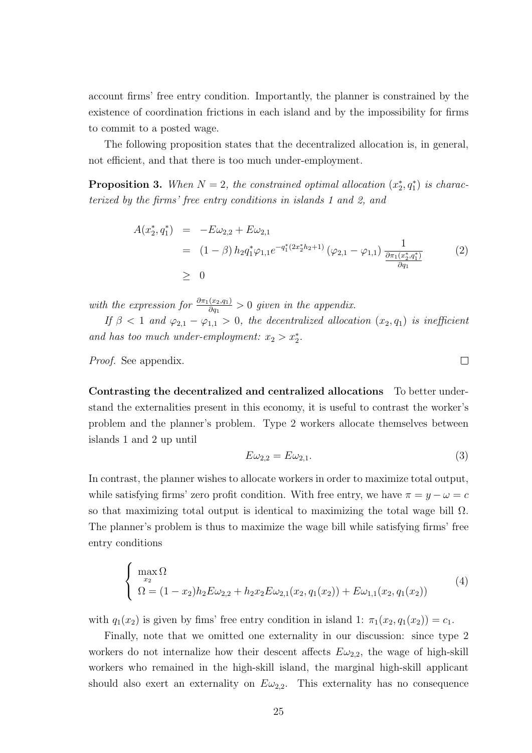account firms' free entry condition. Importantly, the planner is constrained by the existence of coordination frictions in each island and by the impossibility for firms to commit to a posted wage.

The following proposition states that the decentralized allocation is, in general, not efficient, and that there is too much under-employment.

**Proposition 3.** When  $N = 2$ , the constrained optimal allocation  $(x_2^*, q_1^*)$  is characterized by the firms' free entry conditions in islands 1 and 2, and

$$
A(x_2^*, q_1^*) = -E\omega_{2,2} + E\omega_{2,1}
$$
  
=  $(1 - \beta) h_2 q_1^* \varphi_{1,1} e^{-q_1^* (2x_2^* h_2 + 1)} (\varphi_{2,1} - \varphi_{1,1}) \frac{1}{\frac{\partial \pi_1(x_2^*, q_1^*)}{\partial q_1}}$  (2)  
 $\geq 0$ 

with the expression for  $\frac{\partial \pi_1(x_2,q_1)}{\partial q_1} > 0$  given in the appendix.

If  $\beta$  < 1 and  $\varphi_{2,1} - \varphi_{1,1} > 0$ , the decentralized allocation  $(x_2, q_1)$  is inefficient and has too much under-employment:  $x_2 > x_2^*$ .

Proof. See appendix.

Contrasting the decentralized and centralized allocations To better understand the externalities present in this economy, it is useful to contrast the worker's problem and the planner's problem. Type 2 workers allocate themselves between islands 1 and 2 up until

$$
E\omega_{2,2} = E\omega_{2,1}.\tag{3}
$$

In contrast, the planner wishes to allocate workers in order to maximize total output, while satisfying firms' zero profit condition. With free entry, we have  $\pi = y - \omega = c$ so that maximizing total output is identical to maximizing the total wage bill  $\Omega$ . The planner's problem is thus to maximize the wage bill while satisfying firms' free entry conditions

$$
\begin{cases}\n\max_{x_2} \Omega & (4) \\
\Omega = (1 - x_2) h_2 E \omega_{2,2} + h_2 x_2 E \omega_{2,1}(x_2, q_1(x_2)) + E \omega_{1,1}(x_2, q_1(x_2))\n\end{cases}
$$

with  $q_1(x_2)$  is given by fims' free entry condition in island 1:  $\pi_1(x_2, q_1(x_2)) = c_1$ .

Finally, note that we omitted one externality in our discussion: since type 2 workers do not internalize how their descent affects  $E\omega_{2,2}$ , the wage of high-skill workers who remained in the high-skill island, the marginal high-skill applicant should also exert an externality on  $E\omega_{2,2}$ . This externality has no consequence

 $\Box$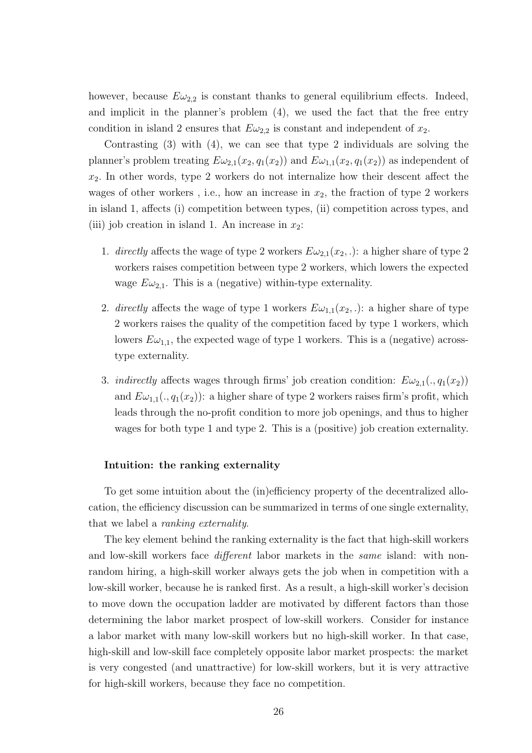however, because  $E\omega_{2,2}$  is constant thanks to general equilibrium effects. Indeed, and implicit in the planner's problem (4), we used the fact that the free entry condition in island 2 ensures that  $E\omega_{2,2}$  is constant and independent of  $x_2$ .

Contrasting (3) with (4), we can see that type 2 individuals are solving the planner's problem treating  $E\omega_{2,1}(x_2, q_1(x_2))$  and  $E\omega_{1,1}(x_2, q_1(x_2))$  as independent of  $x_2$ . In other words, type 2 workers do not internalize how their descent affect the wages of other workers, i.e., how an increase in  $x_2$ , the fraction of type 2 workers in island 1, affects (i) competition between types, (ii) competition across types, and (iii) job creation in island 1. An increase in  $x_2$ :

- 1. directly affects the wage of type 2 workers  $E\omega_{2,1}(x_2,.)$ : a higher share of type 2 workers raises competition between type 2 workers, which lowers the expected wage  $E\omega_{2,1}$ . This is a (negative) within-type externality.
- 2. directly affects the wage of type 1 workers  $E\omega_{1,1}(x_2,.)$ : a higher share of type 2 workers raises the quality of the competition faced by type 1 workers, which lowers  $E\omega_{1,1}$ , the expected wage of type 1 workers. This is a (negative) acrosstype externality.
- 3. *indirectly* affects wages through firms' job creation condition:  $E\omega_{2,1}(. , q_1(x_2))$ and  $E\omega_{1,1}(. , q_1(x_2))$ : a higher share of type 2 workers raises firm's profit, which leads through the no-profit condition to more job openings, and thus to higher wages for both type 1 and type 2. This is a (positive) job creation externality.

# Intuition: the ranking externality

To get some intuition about the (in)efficiency property of the decentralized allocation, the efficiency discussion can be summarized in terms of one single externality, that we label a ranking externality.

The key element behind the ranking externality is the fact that high-skill workers and low-skill workers face different labor markets in the same island: with nonrandom hiring, a high-skill worker always gets the job when in competition with a low-skill worker, because he is ranked first. As a result, a high-skill worker's decision to move down the occupation ladder are motivated by different factors than those determining the labor market prospect of low-skill workers. Consider for instance a labor market with many low-skill workers but no high-skill worker. In that case, high-skill and low-skill face completely opposite labor market prospects: the market is very congested (and unattractive) for low-skill workers, but it is very attractive for high-skill workers, because they face no competition.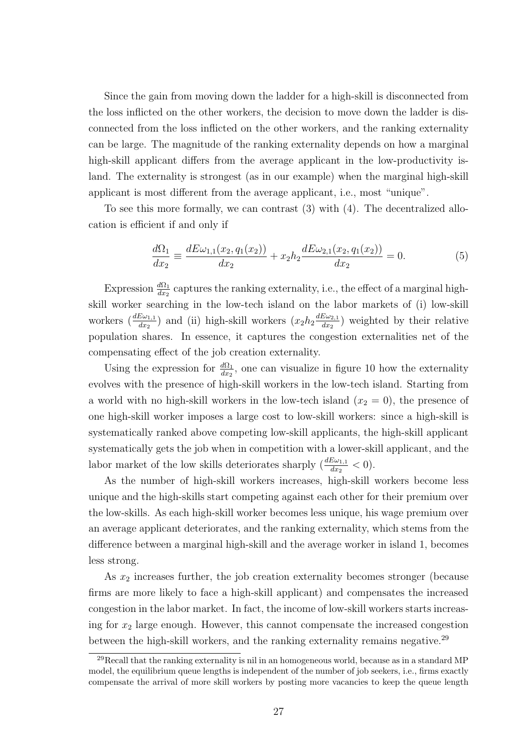Since the gain from moving down the ladder for a high-skill is disconnected from the loss inflicted on the other workers, the decision to move down the ladder is disconnected from the loss inflicted on the other workers, and the ranking externality can be large. The magnitude of the ranking externality depends on how a marginal high-skill applicant differs from the average applicant in the low-productivity island. The externality is strongest (as in our example) when the marginal high-skill applicant is most different from the average applicant, i.e., most "unique".

To see this more formally, we can contrast (3) with (4). The decentralized allocation is efficient if and only if

$$
\frac{d\Omega_1}{dx_2} \equiv \frac{dE\omega_{1,1}(x_2, q_1(x_2))}{dx_2} + x_2 h_2 \frac{dE\omega_{2,1}(x_2, q_1(x_2))}{dx_2} = 0.
$$
\n(5)

Expression  $\frac{d\Omega_1}{dx_2}$  captures the ranking externality, i.e., the effect of a marginal highskill worker searching in the low-tech island on the labor markets of (i) low-skill workers  $\left(\frac{dE\omega_{1,1}}{dx_2}\right)$  and (ii) high-skill workers  $\left(x_2h_2\frac{dE\omega_{2,1}}{dx_2}\right)$  $\frac{E\omega_{2,1}}{dx_2}$ ) weighted by their relative population shares. In essence, it captures the congestion externalities net of the compensating effect of the job creation externality.

Using the expression for  $\frac{d\Omega_1}{dx_2}$ , one can visualize in figure 10 how the externality evolves with the presence of high-skill workers in the low-tech island. Starting from a world with no high-skill workers in the low-tech island  $(x_2 = 0)$ , the presence of one high-skill worker imposes a large cost to low-skill workers: since a high-skill is systematically ranked above competing low-skill applicants, the high-skill applicant systematically gets the job when in competition with a lower-skill applicant, and the labor market of the low skills deteriorates sharply  $\left(\frac{dE\omega_{1,1}}{dx_2}\right) < 0$ .

As the number of high-skill workers increases, high-skill workers become less unique and the high-skills start competing against each other for their premium over the low-skills. As each high-skill worker becomes less unique, his wage premium over an average applicant deteriorates, and the ranking externality, which stems from the difference between a marginal high-skill and the average worker in island 1, becomes less strong.

As  $x_2$  increases further, the job creation externality becomes stronger (because firms are more likely to face a high-skill applicant) and compensates the increased congestion in the labor market. In fact, the income of low-skill workers starts increasing for  $x_2$  large enough. However, this cannot compensate the increased congestion between the high-skill workers, and the ranking externality remains negative.<sup>29</sup>

<sup>29</sup>Recall that the ranking externality is nil in an homogeneous world, because as in a standard MP model, the equilibrium queue lengths is independent of the number of job seekers, i.e., firms exactly compensate the arrival of more skill workers by posting more vacancies to keep the queue length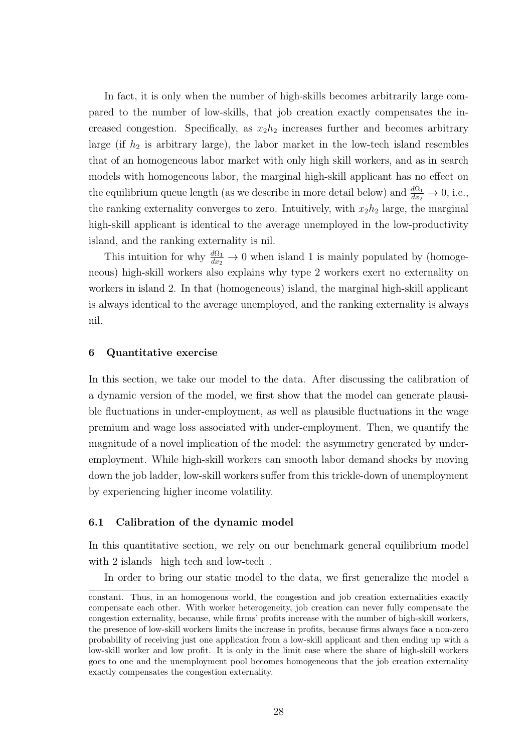In fact, it is only when the number of high-skills becomes arbitrarily large compared to the number of low-skills, that job creation exactly compensates the increased congestion. Specifically, as  $x_2h_2$  increases further and becomes arbitrary large (if  $h_2$  is arbitrary large), the labor market in the low-tech island resembles that of an homogeneous labor market with only high skill workers, and as in search models with homogeneous labor, the marginal high-skill applicant has no effect on the equilibrium queue length (as we describe in more detail below) and  $\frac{d\Omega_1}{dx_2} \to 0$ , i.e., the ranking externality converges to zero. Intuitively, with  $x_2h_2$  large, the marginal high-skill applicant is identical to the average unemployed in the low-productivity island, and the ranking externality is nil.

This intuition for why  $\frac{d\Omega_1}{dx_2} \to 0$  when island 1 is mainly populated by (homogeneous) high-skill workers also explains why type 2 workers exert no externality on workers in island 2. In that (homogeneous) island, the marginal high-skill applicant is always identical to the average unemployed, and the ranking externality is always nil.

# 6 Quantitative exercise

In this section, we take our model to the data. After discussing the calibration of a dynamic version of the model, we first show that the model can generate plausible fluctuations in under-employment, as well as plausible fluctuations in the wage premium and wage loss associated with under-employment. Then, we quantify the magnitude of a novel implication of the model: the asymmetry generated by underemployment. While high-skill workers can smooth labor demand shocks by moving down the job ladder, low-skill workers suffer from this trickle-down of unemployment by experiencing higher income volatility.

# 6.1 Calibration of the dynamic model

In this quantitative section, we rely on our benchmark general equilibrium model with 2 islands –high tech and low-tech–.

In order to bring our static model to the data, we first generalize the model a

constant. Thus, in an homogenous world, the congestion and job creation externalities exactly compensate each other. With worker heterogeneity, job creation can never fully compensate the congestion externality, because, while firms' profits increase with the number of high-skill workers, the presence of low-skill workers limits the increase in profits, because firms always face a non-zero probability of receiving just one application from a low-skill applicant and then ending up with a low-skill worker and low profit. It is only in the limit case where the share of high-skill workers goes to one and the unemployment pool becomes homogeneous that the job creation externality exactly compensates the congestion externality.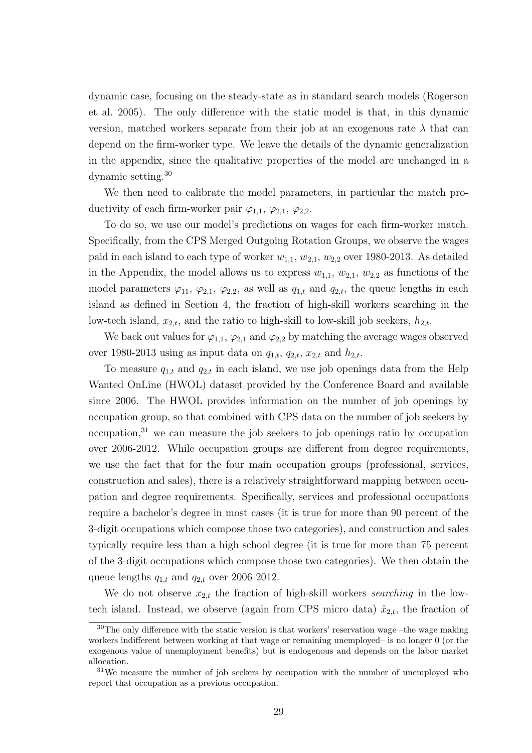dynamic case, focusing on the steady-state as in standard search models (Rogerson et al. 2005). The only difference with the static model is that, in this dynamic version, matched workers separate from their job at an exogenous rate  $\lambda$  that can depend on the firm-worker type. We leave the details of the dynamic generalization in the appendix, since the qualitative properties of the model are unchanged in a dynamic setting.<sup>30</sup>

We then need to calibrate the model parameters, in particular the match productivity of each firm-worker pair  $\varphi_{1,1}, \varphi_{2,1}, \varphi_{2,2}$ .

To do so, we use our model's predictions on wages for each firm-worker match. Specifically, from the CPS Merged Outgoing Rotation Groups, we observe the wages paid in each island to each type of worker  $w_{1,1}$ ,  $w_{2,1}$ ,  $w_{2,2}$  over 1980-2013. As detailed in the Appendix, the model allows us to express  $w_{1,1}$ ,  $w_{2,1}$ ,  $w_{2,2}$  as functions of the model parameters  $\varphi_{11}, \varphi_{2,1}, \varphi_{2,2}$ , as well as  $q_{1,t}$  and  $q_{2,t}$ , the queue lengths in each island as defined in Section 4, the fraction of high-skill workers searching in the low-tech island,  $x_{2,t}$ , and the ratio to high-skill to low-skill job seekers,  $h_{2,t}$ .

We back out values for  $\varphi_{1,1}, \varphi_{2,1}$  and  $\varphi_{2,2}$  by matching the average wages observed over 1980-2013 using as input data on  $q_{1,t}$ ,  $q_{2,t}$ ,  $x_{2,t}$  and  $h_{2,t}$ .

To measure  $q_{1,t}$  and  $q_{2,t}$  in each island, we use job openings data from the Help Wanted OnLine (HWOL) dataset provided by the Conference Board and available since 2006. The HWOL provides information on the number of job openings by occupation group, so that combined with CPS data on the number of job seekers by occupation,<sup>31</sup> we can measure the job seekers to job openings ratio by occupation over 2006-2012. While occupation groups are different from degree requirements, we use the fact that for the four main occupation groups (professional, services, construction and sales), there is a relatively straightforward mapping between occupation and degree requirements. Specifically, services and professional occupations require a bachelor's degree in most cases (it is true for more than 90 percent of the 3-digit occupations which compose those two categories), and construction and sales typically require less than a high school degree (it is true for more than 75 percent of the 3-digit occupations which compose those two categories). We then obtain the queue lengths  $q_{1,t}$  and  $q_{2,t}$  over 2006-2012.

We do not observe  $x_{2,t}$  the fraction of high-skill workers *searching* in the lowtech island. Instead, we observe (again from CPS micro data)  $\hat{x}_{2,t}$ , the fraction of

 $30$ The only difference with the static version is that workers' reservation wage –the wage making workers indifferent between working at that wage or remaining unemployed– is no longer 0 (or the exogenous value of unemployment benefits) but is endogenous and depends on the labor market allocation.

<sup>31</sup>We measure the number of job seekers by occupation with the number of unemployed who report that occupation as a previous occupation.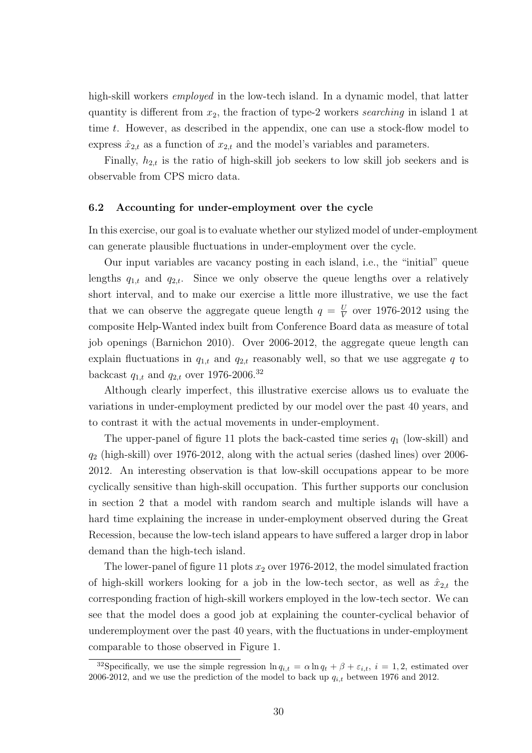high-skill workers *employed* in the low-tech island. In a dynamic model, that latter quantity is different from  $x_2$ , the fraction of type-2 workers searching in island 1 at time t. However, as described in the appendix, one can use a stock-flow model to express  $\hat{x}_{2,t}$  as a function of  $x_{2,t}$  and the model's variables and parameters.

Finally,  $h_{2,t}$  is the ratio of high-skill job seekers to low skill job seekers and is observable from CPS micro data.

# 6.2 Accounting for under-employment over the cycle

In this exercise, our goal is to evaluate whether our stylized model of under-employment can generate plausible fluctuations in under-employment over the cycle.

Our input variables are vacancy posting in each island, i.e., the "initial" queue lengths  $q_{1,t}$  and  $q_{2,t}$ . Since we only observe the queue lengths over a relatively short interval, and to make our exercise a little more illustrative, we use the fact that we can observe the aggregate queue length  $q = \frac{U}{V}$  $\frac{U}{V}$  over 1976-2012 using the composite Help-Wanted index built from Conference Board data as measure of total job openings (Barnichon 2010). Over 2006-2012, the aggregate queue length can explain fluctuations in  $q_{1,t}$  and  $q_{2,t}$  reasonably well, so that we use aggregate q to backcast  $q_{1,t}$  and  $q_{2,t}$  over 1976-2006.<sup>32</sup>

Although clearly imperfect, this illustrative exercise allows us to evaluate the variations in under-employment predicted by our model over the past 40 years, and to contrast it with the actual movements in under-employment.

The upper-panel of figure 11 plots the back-casted time series  $q_1$  (low-skill) and  $q_2$  (high-skill) over 1976-2012, along with the actual series (dashed lines) over 2006-2012. An interesting observation is that low-skill occupations appear to be more cyclically sensitive than high-skill occupation. This further supports our conclusion in section 2 that a model with random search and multiple islands will have a hard time explaining the increase in under-employment observed during the Great Recession, because the low-tech island appears to have suffered a larger drop in labor demand than the high-tech island.

The lower-panel of figure 11 plots  $x_2$  over 1976-2012, the model simulated fraction of high-skill workers looking for a job in the low-tech sector, as well as  $\hat{x}_{2,t}$  the corresponding fraction of high-skill workers employed in the low-tech sector. We can see that the model does a good job at explaining the counter-cyclical behavior of underemployment over the past 40 years, with the fluctuations in under-employment comparable to those observed in Figure 1.

<sup>&</sup>lt;sup>32</sup>Specifically, we use the simple regression  $\ln q_{i,t} = \alpha \ln q_t + \beta + \varepsilon_{i,t}$ ,  $i = 1,2$ , estimated over 2006-2012, and we use the prediction of the model to back up  $q_{i,t}$  between 1976 and 2012.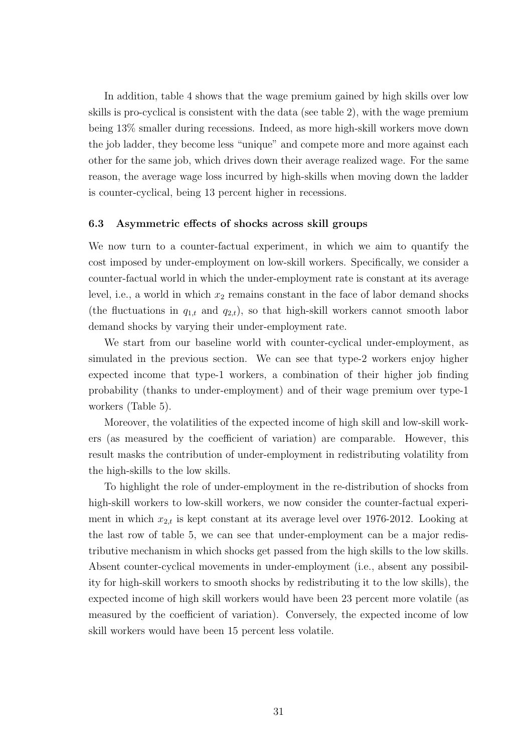In addition, table 4 shows that the wage premium gained by high skills over low skills is pro-cyclical is consistent with the data (see table 2), with the wage premium being 13% smaller during recessions. Indeed, as more high-skill workers move down the job ladder, they become less "unique" and compete more and more against each other for the same job, which drives down their average realized wage. For the same reason, the average wage loss incurred by high-skills when moving down the ladder is counter-cyclical, being 13 percent higher in recessions.

# 6.3 Asymmetric effects of shocks across skill groups

We now turn to a counter-factual experiment, in which we aim to quantify the cost imposed by under-employment on low-skill workers. Specifically, we consider a counter-factual world in which the under-employment rate is constant at its average level, i.e., a world in which  $x_2$  remains constant in the face of labor demand shocks (the fluctuations in  $q_{1,t}$  and  $q_{2,t}$ ), so that high-skill workers cannot smooth labor demand shocks by varying their under-employment rate.

We start from our baseline world with counter-cyclical under-employment, as simulated in the previous section. We can see that type-2 workers enjoy higher expected income that type-1 workers, a combination of their higher job finding probability (thanks to under-employment) and of their wage premium over type-1 workers (Table 5).

Moreover, the volatilities of the expected income of high skill and low-skill workers (as measured by the coefficient of variation) are comparable. However, this result masks the contribution of under-employment in redistributing volatility from the high-skills to the low skills.

To highlight the role of under-employment in the re-distribution of shocks from high-skill workers to low-skill workers, we now consider the counter-factual experiment in which  $x_{2,t}$  is kept constant at its average level over 1976-2012. Looking at the last row of table 5, we can see that under-employment can be a major redistributive mechanism in which shocks get passed from the high skills to the low skills. Absent counter-cyclical movements in under-employment (i.e., absent any possibility for high-skill workers to smooth shocks by redistributing it to the low skills), the expected income of high skill workers would have been 23 percent more volatile (as measured by the coefficient of variation). Conversely, the expected income of low skill workers would have been 15 percent less volatile.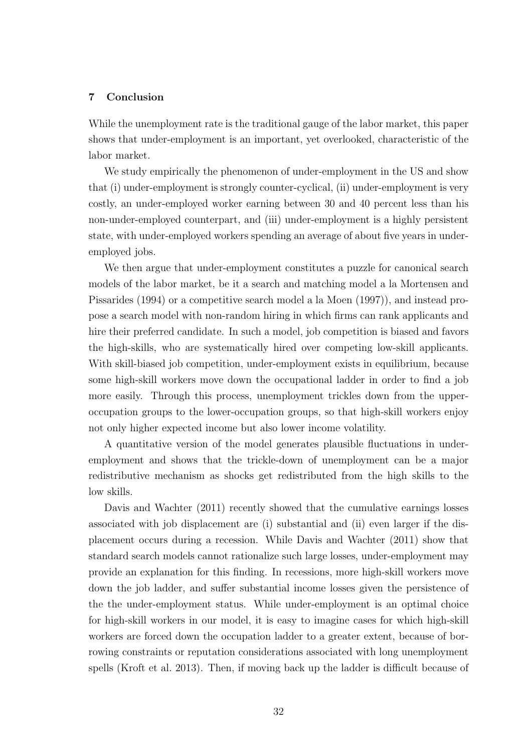# 7 Conclusion

While the unemployment rate is the traditional gauge of the labor market, this paper shows that under-employment is an important, yet overlooked, characteristic of the labor market.

We study empirically the phenomenon of under-employment in the US and show that (i) under-employment is strongly counter-cyclical, (ii) under-employment is very costly, an under-employed worker earning between 30 and 40 percent less than his non-under-employed counterpart, and (iii) under-employment is a highly persistent state, with under-employed workers spending an average of about five years in underemployed jobs.

We then argue that under-employment constitutes a puzzle for canonical search models of the labor market, be it a search and matching model a la Mortensen and Pissarides (1994) or a competitive search model a la Moen (1997)), and instead propose a search model with non-random hiring in which firms can rank applicants and hire their preferred candidate. In such a model, job competition is biased and favors the high-skills, who are systematically hired over competing low-skill applicants. With skill-biased job competition, under-employment exists in equilibrium, because some high-skill workers move down the occupational ladder in order to find a job more easily. Through this process, unemployment trickles down from the upperoccupation groups to the lower-occupation groups, so that high-skill workers enjoy not only higher expected income but also lower income volatility.

A quantitative version of the model generates plausible fluctuations in underemployment and shows that the trickle-down of unemployment can be a major redistributive mechanism as shocks get redistributed from the high skills to the low skills.

Davis and Wachter (2011) recently showed that the cumulative earnings losses associated with job displacement are (i) substantial and (ii) even larger if the displacement occurs during a recession. While Davis and Wachter (2011) show that standard search models cannot rationalize such large losses, under-employment may provide an explanation for this finding. In recessions, more high-skill workers move down the job ladder, and suffer substantial income losses given the persistence of the the under-employment status. While under-employment is an optimal choice for high-skill workers in our model, it is easy to imagine cases for which high-skill workers are forced down the occupation ladder to a greater extent, because of borrowing constraints or reputation considerations associated with long unemployment spells (Kroft et al. 2013). Then, if moving back up the ladder is difficult because of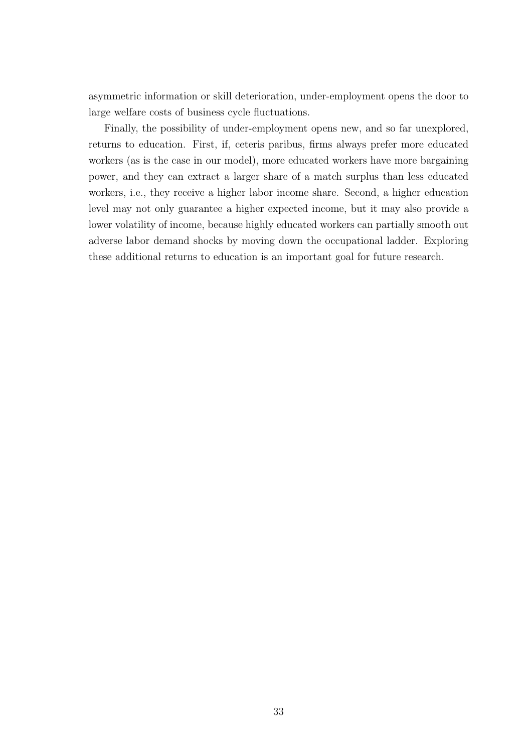asymmetric information or skill deterioration, under-employment opens the door to large welfare costs of business cycle fluctuations.

Finally, the possibility of under-employment opens new, and so far unexplored, returns to education. First, if, ceteris paribus, firms always prefer more educated workers (as is the case in our model), more educated workers have more bargaining power, and they can extract a larger share of a match surplus than less educated workers, i.e., they receive a higher labor income share. Second, a higher education level may not only guarantee a higher expected income, but it may also provide a lower volatility of income, because highly educated workers can partially smooth out adverse labor demand shocks by moving down the occupational ladder. Exploring these additional returns to education is an important goal for future research.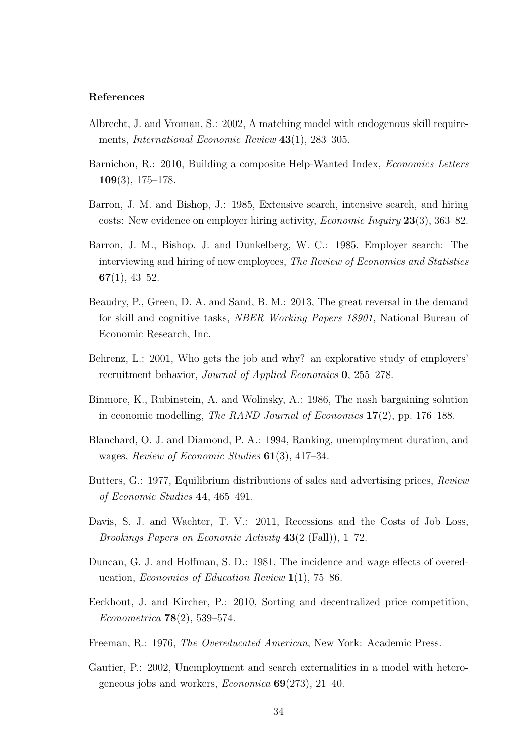# References

- Albrecht, J. and Vroman, S.: 2002, A matching model with endogenous skill requirements, *International Economic Review* 43(1), 283–305.
- Barnichon, R.: 2010, Building a composite Help-Wanted Index, Economics Letters 109(3), 175–178.
- Barron, J. M. and Bishop, J.: 1985, Extensive search, intensive search, and hiring costs: New evidence on employer hiring activity, Economic Inquiry 23(3), 363–82.
- Barron, J. M., Bishop, J. and Dunkelberg, W. C.: 1985, Employer search: The interviewing and hiring of new employees, The Review of Economics and Statistics  $67(1), 43-52.$
- Beaudry, P., Green, D. A. and Sand, B. M.: 2013, The great reversal in the demand for skill and cognitive tasks, NBER Working Papers 18901, National Bureau of Economic Research, Inc.
- Behrenz, L.: 2001, Who gets the job and why? an explorative study of employers' recruitment behavior, Journal of Applied Economics 0, 255–278.
- Binmore, K., Rubinstein, A. and Wolinsky, A.: 1986, The nash bargaining solution in economic modelling, The RAND Journal of Economics  $17(2)$ , pp. 176–188.
- Blanchard, O. J. and Diamond, P. A.: 1994, Ranking, unemployment duration, and wages, Review of Economic Studies 61(3), 417-34.
- Butters, G.: 1977, Equilibrium distributions of sales and advertising prices, Review of Economic Studies 44, 465–491.
- Davis, S. J. and Wachter, T. V.: 2011, Recessions and the Costs of Job Loss, Brookings Papers on Economic Activity 43(2 (Fall)), 1–72.
- Duncan, G. J. and Hoffman, S. D.: 1981, The incidence and wage effects of overeducation, *Economics of Education Review*  $1(1)$ , 75–86.
- Eeckhout, J. and Kircher, P.: 2010, Sorting and decentralized price competition, Econometrica 78(2), 539–574.
- Freeman, R.: 1976, The Overeducated American, New York: Academic Press.
- Gautier, P.: 2002, Unemployment and search externalities in a model with heterogeneous jobs and workers, *Economica*  $69(273)$ , 21–40.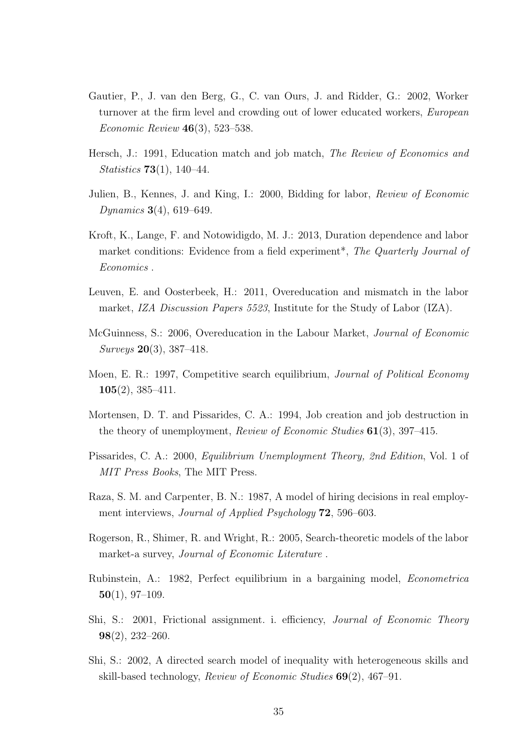- Gautier, P., J. van den Berg, G., C. van Ours, J. and Ridder, G.: 2002, Worker turnover at the firm level and crowding out of lower educated workers, European Economic Review 46(3), 523–538.
- Hersch, J.: 1991, Education match and job match, *The Review of Economics and* Statistics 73(1), 140–44.
- Julien, B., Kennes, J. and King, I.: 2000, Bidding for labor, Review of Economic Dynamics  $3(4)$ , 619–649.
- Kroft, K., Lange, F. and Notowidigdo, M. J.: 2013, Duration dependence and labor market conditions: Evidence from a field experiment<sup>\*</sup>, The Quarterly Journal of Economics .
- Leuven, E. and Oosterbeek, H.: 2011, Overeducation and mismatch in the labor market, IZA Discussion Papers 5523, Institute for the Study of Labor (IZA).
- McGuinness, S.: 2006, Overeducation in the Labour Market, Journal of Economic Surveys 20(3), 387–418.
- Moen, E. R.: 1997, Competitive search equilibrium, *Journal of Political Economy* 105(2), 385–411.
- Mortensen, D. T. and Pissarides, C. A.: 1994, Job creation and job destruction in the theory of unemployment, *Review of Economic Studies*  $61(3)$ , 397–415.
- Pissarides, C. A.: 2000, Equilibrium Unemployment Theory, 2nd Edition, Vol. 1 of MIT Press Books, The MIT Press.
- Raza, S. M. and Carpenter, B. N.: 1987, A model of hiring decisions in real employment interviews, *Journal of Applied Psychology* **72**, 596–603.
- Rogerson, R., Shimer, R. and Wright, R.: 2005, Search-theoretic models of the labor market-a survey, Journal of Economic Literature .
- Rubinstein, A.: 1982, Perfect equilibrium in a bargaining model, Econometrica  $50(1), 97-109.$
- Shi, S.: 2001, Frictional assignment. i. efficiency, Journal of Economic Theory 98(2), 232–260.
- Shi, S.: 2002, A directed search model of inequality with heterogeneous skills and skill-based technology, Review of Economic Studies 69(2), 467–91.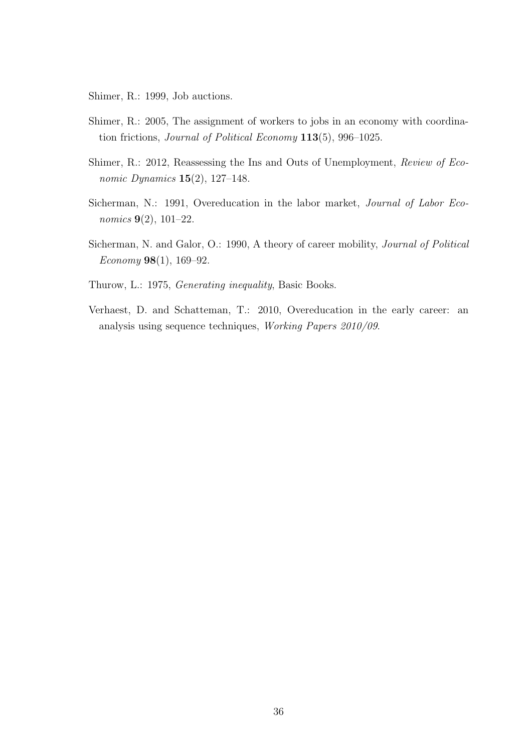Shimer, R.: 1999, Job auctions.

- Shimer, R.: 2005, The assignment of workers to jobs in an economy with coordination frictions, Journal of Political Economy 113(5), 996–1025.
- Shimer, R.: 2012, Reassessing the Ins and Outs of Unemployment, Review of Economic Dynamics  $15(2)$ , 127-148.
- Sicherman, N.: 1991, Overeducation in the labor market, Journal of Labor Economics 9(2), 101–22.
- Sicherman, N. and Galor, O.: 1990, A theory of career mobility, *Journal of Political* Economy  $98(1)$ , 169–92.
- Thurow, L.: 1975, Generating inequality, Basic Books.
- Verhaest, D. and Schatteman, T.: 2010, Overeducation in the early career: an analysis using sequence techniques, Working Papers 2010/09.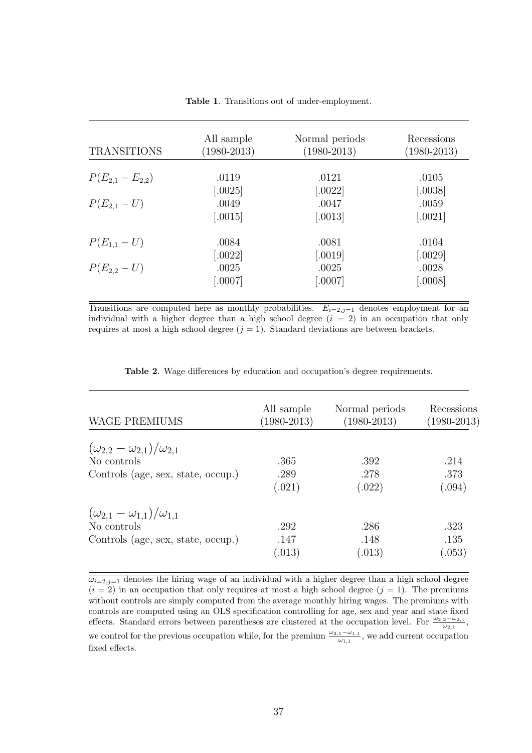| <b>TRANSITIONS</b>     | All sample<br>$(1980 - 2013)$ | Normal periods<br>$(1980 - 2013)$ | Recessions<br>$(1980 - 2013)$ |
|------------------------|-------------------------------|-----------------------------------|-------------------------------|
| $P(E_{2,1} - E_{2,2})$ | .0119                         | .0121                             | .0105                         |
|                        | [.0025]                       | $[.0022]$                         | $[.0038]$                     |
| $P(E_{2,1} - U)$       | .0049                         | .0047                             | .0059                         |
|                        | [.0015]                       | $\left[ .0013\right]$             | $\left[ .0021\right]$         |
| $P(E_{1,1} - U)$       | .0084                         | .0081                             | .0104                         |
|                        | [.0022]                       | [.0019]                           | $[.0029]$                     |
| $P(E_{2,2} - U)$       | .0025                         | .0025                             | .0028                         |
|                        | [.0007]                       | [.0007]                           | [.0008]                       |

Table 1. Transitions out of under-employment.

Transitions are computed here as monthly probabilities.  $E_{i=2,j=1}$  denotes employment for an individual with a higher degree than a high school degree  $(i = 2)$  in an occupation that only requires at most a high school degree  $(j = 1)$ . Standard deviations are between brackets.

|  |  |  |  | <b>Table 2.</b> Wage differences by education and occupation's degree requirements. |
|--|--|--|--|-------------------------------------------------------------------------------------|
|  |  |  |  |                                                                                     |

| <b>WAGE PREMIUMS</b>                       | All sample<br>$(1980 - 2013)$ | Normal periods<br>$(1980 - 2013)$ | Recessions<br>$(1980 - 2013)$ |
|--------------------------------------------|-------------------------------|-----------------------------------|-------------------------------|
| $(\omega_{2,2}-\omega_{2,1})/\omega_{2,1}$ |                               |                                   |                               |
| No controls                                | .365                          | .392                              | .214                          |
| Controls (age, sex, state, occup.)         | .289                          | .278                              | .373                          |
|                                            | (.021)                        | (.022)                            | (.094)                        |
| $(\omega_{2,1}-\omega_{1,1})/\omega_{1,1}$ |                               |                                   |                               |
| No controls                                | .292                          | .286                              | .323                          |
| Controls (age, sex, state, occup.)         | .147                          | .148                              | .135                          |
|                                            | (.013)                        | (.013)                            | (.053)                        |

 $\omega_{i=2,j=1}$  denotes the hiring wage of an individual with a higher degree than a high school degree  $(i = 2)$  in an occupation that only requires at most a high school degree  $(j = 1)$ . The premiums without controls are simply computed from the average monthly hiring wages. The premiums with controls are computed using an OLS specification controlling for age, sex and year and state fixed effects. Standard errors between parentheses are clustered at the occupation level. For  $\frac{\omega_{2,2}-\omega_{2,1}}{\omega_{2,1}}$ , we control for the previous occupation while, for the premium  $\frac{\omega_{2,1}-\omega_{1,1}}{\omega_{1,1}}$ , we add current occupation fixed effects.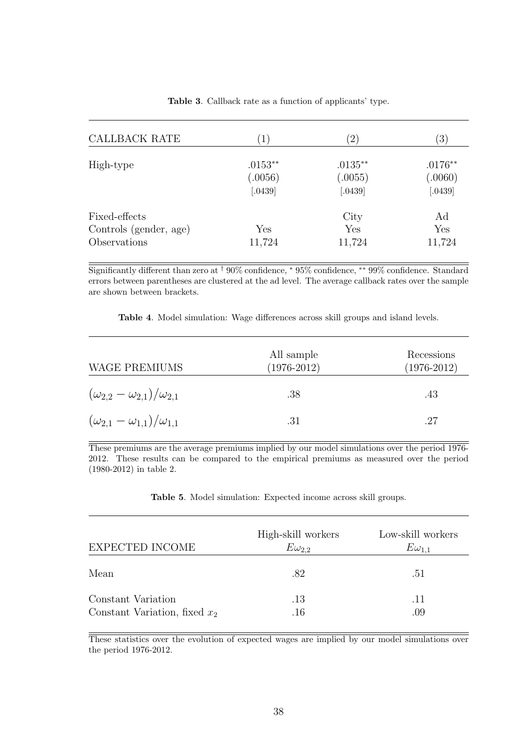| CALLBACK RATE                                           | $\left(1\right)$                | $\left( 2\right)$                  | $\left(3\right)$                  |
|---------------------------------------------------------|---------------------------------|------------------------------------|-----------------------------------|
| High-type                                               | $.0153**$<br>(.0056)<br>[.0439] | $.0135***$<br>(.0055)<br>$[.0439]$ | $.0176**$<br>(.0060)<br>$[.0439]$ |
| Fixed-effects<br>Controls (gender, age)<br>Observations | Yes<br>11,724                   | City<br>Yes<br>11,724              | Ad<br>${\rm Yes}$<br>11,724       |

Table 3. Callback rate as a function of applicants' type.

Significantly different than zero at † 90% confidence, <sup>∗</sup> 95% confidence, ∗∗ 99% confidence. Standard errors between parentheses are clustered at the ad level. The average callback rates over the sample are shown between brackets.

Table 4. Model simulation: Wage differences across skill groups and island levels.

| <b>WAGE PREMIUMS</b>                       | All sample<br>$(1976 - 2012)$ | Recessions<br>$(1976 - 2012)$ |
|--------------------------------------------|-------------------------------|-------------------------------|
| $(\omega_{2,2}-\omega_{2,1})/\omega_{2,1}$ | .38                           | .43                           |
| $(\omega_{2,1}-\omega_{1,1})/\omega_{1,1}$ | .31                           | .27                           |

These premiums are the average premiums implied by our model simulations over the period 1976- 2012. These results can be compared to the empirical premiums as measured over the period (1980-2012) in table 2.

Table 5. Model simulation: Expected income across skill groups.

| EXPECTED INCOME                                       | High-skill workers<br>$E\omega_{2.2}$ | Low-skill workers<br>$E\omega_{1.1}$ |
|-------------------------------------------------------|---------------------------------------|--------------------------------------|
| Mean                                                  | .82                                   | .51                                  |
| Constant Variation<br>Constant Variation, fixed $x_2$ | .13<br>$.16\,$                        | .11<br>.09                           |

These statistics over the evolution of expected wages are implied by our model simulations over the period 1976-2012.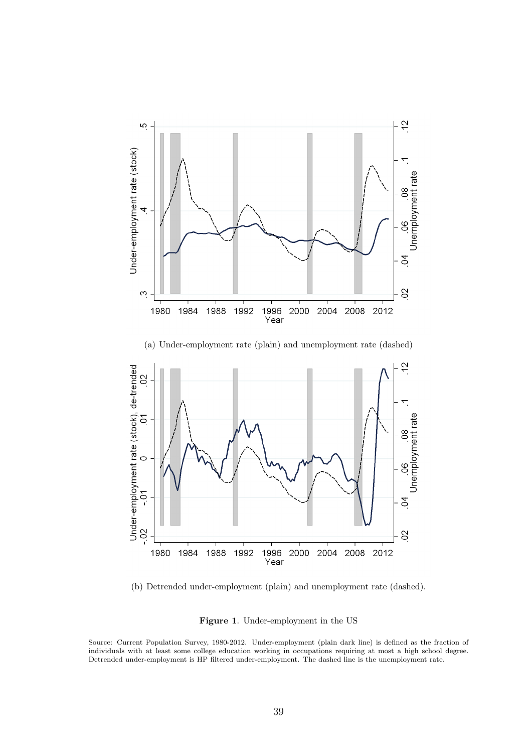

(b) Detrended under-employment (plain) and unemployment rate (dashed).

Figure 1. Under-employment in the US

Source: Current Population Survey, 1980-2012. Under-employment (plain dark line) is defined as the fraction of individuals with at least some college education working in occupations requiring at most a high school degree. Detrended under-employment is HP filtered under-employment. The dashed line is the unemployment rate.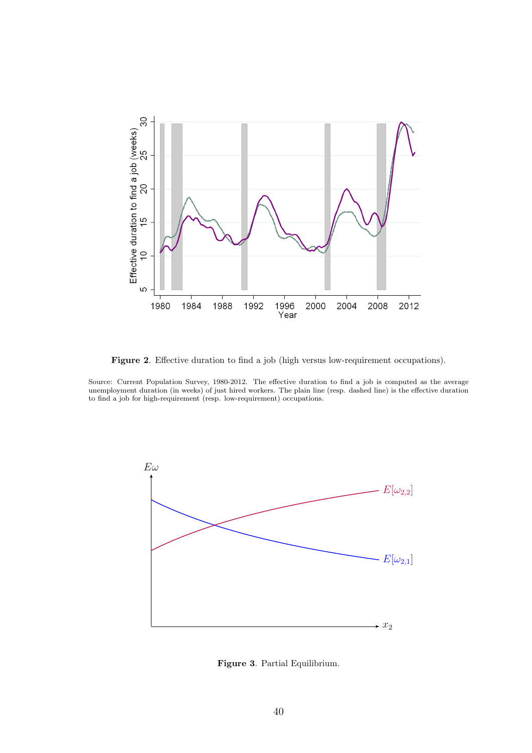

Figure 2. Effective duration to find a job (high versus low-requirement occupations).

Source: Current Population Survey, 1980-2012. The effective duration to find a job is computed as the average unemployment duration (in weeks) of just hired workers. The plain line (resp. dashed line) is the effective duration to find a job for high-requirement (resp. low-requirement) occupations.



Figure 3. Partial Equilibrium.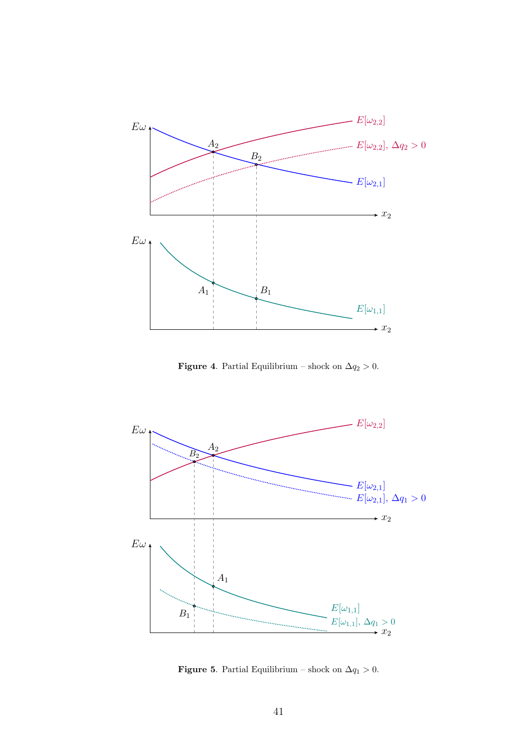

**Figure 4.** Partial Equilibrium – shock on  $\Delta q_2 > 0$ .



**Figure 5.** Partial Equilibrium – shock on  $\Delta q_1 > 0$ .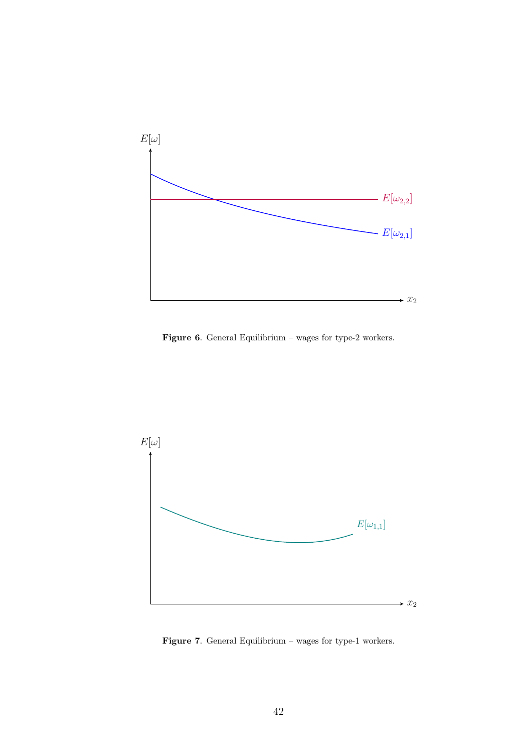

Figure 6. General Equilibrium – wages for type-2 workers.



Figure 7. General Equilibrium – wages for type-1 workers.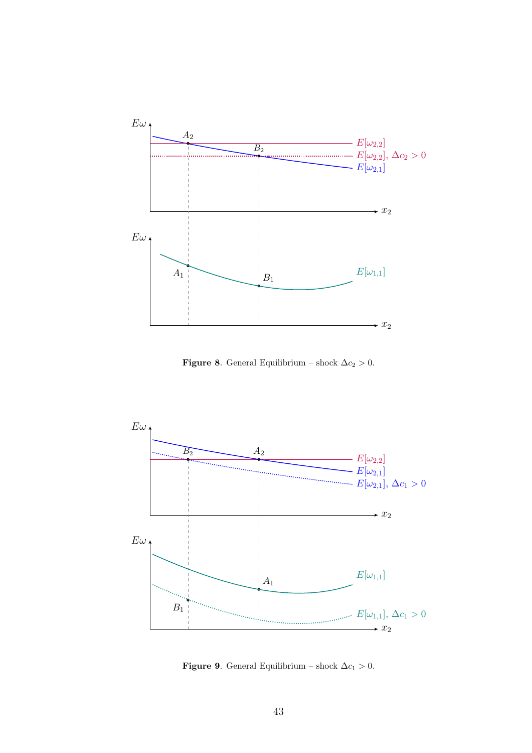

Figure 8. General Equilibrium – shock  $\Delta c_2 > 0$ .



Figure 9. General Equilibrium – shock  $\Delta c_1 > 0$ .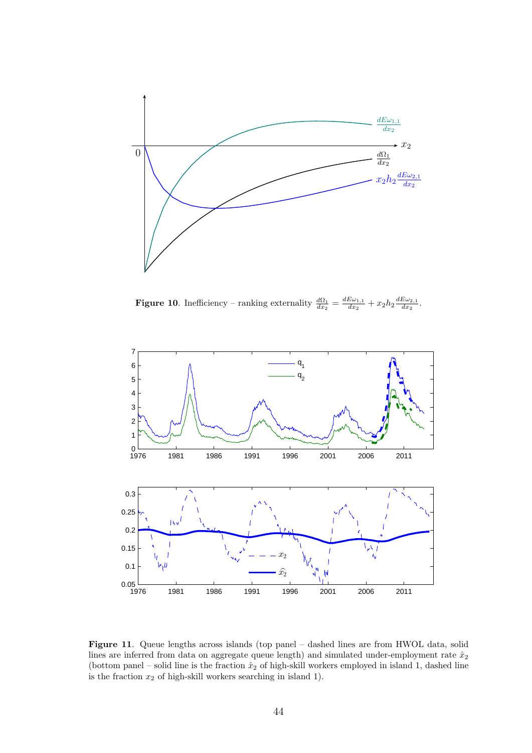

**Figure 10.** Inefficiency – ranking externality  $\frac{d\Omega_1}{dx_2} = \frac{dE\omega_{1,1}}{dx_2}$  $\frac{E\omega_{1,1}}{dx_2}+x_2h_2\frac{dE\omega_{2,1}}{dx_2}$  $\frac{\omega_{2,1}}{dx_2}$ .



Figure 11. Queue lengths across islands (top panel – dashed lines are from HWOL data, solid lines are inferred from data on aggregate queue length) and simulated under-employment rate  $\hat{x}_2$ (bottom panel – solid line is the fraction  $\hat{x}_2$  of high-skill workers employed in island 1, dashed line is the fraction  $x_2$  of high-skill workers searching in island 1).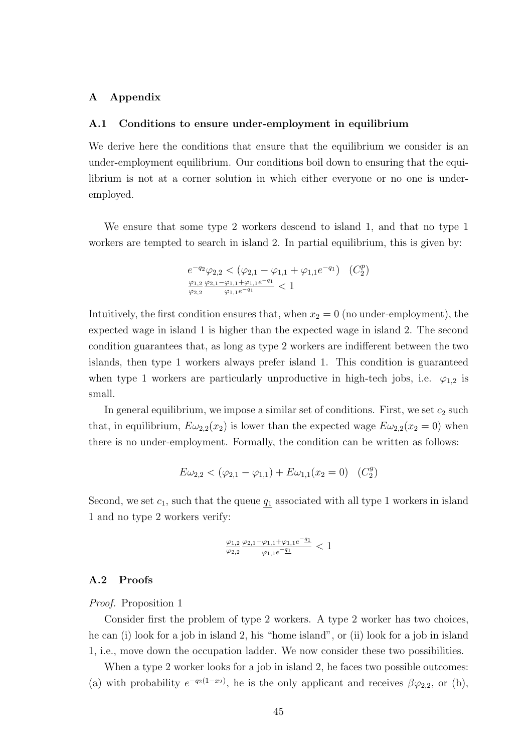# A Appendix

#### A.1 Conditions to ensure under-employment in equilibrium

We derive here the conditions that ensure that the equilibrium we consider is an under-employment equilibrium. Our conditions boil down to ensuring that the equilibrium is not at a corner solution in which either everyone or no one is underemployed.

We ensure that some type 2 workers descend to island 1, and that no type 1 workers are tempted to search in island 2. In partial equilibrium, this is given by:

$$
e^{-q_2}\varphi_{2,2} < (\varphi_{2,1} - \varphi_{1,1} + \varphi_{1,1}e^{-q_1}) \quad (C_2^p)
$$
  

$$
\frac{\varphi_{1,2}}{\varphi_{2,2}} \frac{\varphi_{2,1} - \varphi_{1,1} + \varphi_{1,1}e^{-q_1}}{\varphi_{1,1}e^{-q_1}} < 1
$$

Intuitively, the first condition ensures that, when  $x_2 = 0$  (no under-employment), the expected wage in island 1 is higher than the expected wage in island 2. The second condition guarantees that, as long as type 2 workers are indifferent between the two islands, then type 1 workers always prefer island 1. This condition is guaranteed when type 1 workers are particularly unproductive in high-tech jobs, i.e.  $\varphi_{1,2}$  is small.

In general equilibrium, we impose a similar set of conditions. First, we set  $c_2$  such that, in equilibrium,  $E\omega_{2,2}(x_2)$  is lower than the expected wage  $E\omega_{2,2}(x_2=0)$  when there is no under-employment. Formally, the condition can be written as follows:

$$
E\omega_{2,2} < (\varphi_{2,1} - \varphi_{1,1}) + E\omega_{1,1}(x_2 = 0) \quad (C_2^g)
$$

Second, we set  $c_1$ , such that the queue  $q_1$  associated with all type 1 workers in island 1 and no type 2 workers verify:

$$
\tfrac{\varphi_{1,2}}{\varphi_{2,2}} \tfrac{\varphi_{2,1}-\varphi_{1,1}+\varphi_{1,1}e^{-q_1}}{\varphi_{1,1}e^{-q_1}}<1
$$

# A.2 Proofs

# Proof. Proposition 1

Consider first the problem of type 2 workers. A type 2 worker has two choices, he can (i) look for a job in island 2, his "home island", or (ii) look for a job in island 1, i.e., move down the occupation ladder. We now consider these two possibilities.

When a type 2 worker looks for a job in island 2, he faces two possible outcomes: (a) with probability  $e^{-q_2(1-x_2)}$ , he is the only applicant and receives  $\beta\varphi_{2,2}$ , or (b),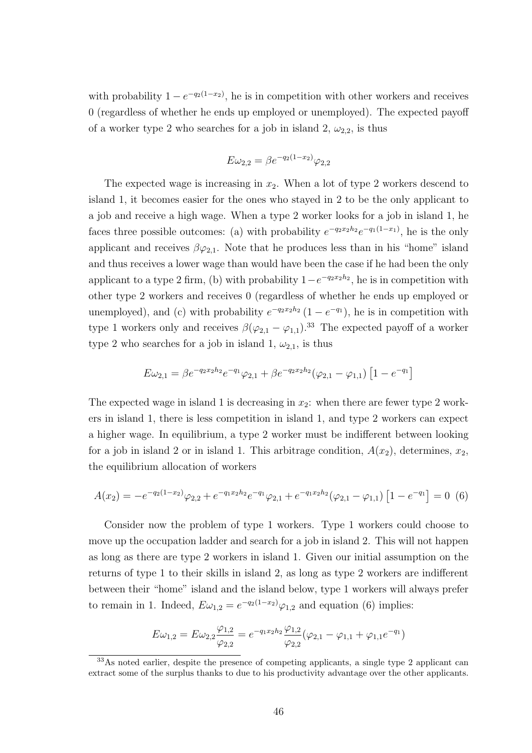with probability  $1 - e^{-q_2(1-x_2)}$ , he is in competition with other workers and receives 0 (regardless of whether he ends up employed or unemployed). The expected payoff of a worker type 2 who searches for a job in island 2,  $\omega_{2,2}$ , is thus

$$
E\omega_{2,2} = \beta e^{-q_2(1-x_2)}\varphi_{2,2}
$$

The expected wage is increasing in  $x_2$ . When a lot of type 2 workers descend to island 1, it becomes easier for the ones who stayed in 2 to be the only applicant to a job and receive a high wage. When a type 2 worker looks for a job in island 1, he faces three possible outcomes: (a) with probability  $e^{-q_2x_2h_2}e^{-q_1(1-x_1)}$ , he is the only applicant and receives  $\beta\varphi_{2,1}$ . Note that he produces less than in his "home" island and thus receives a lower wage than would have been the case if he had been the only applicant to a type 2 firm, (b) with probability  $1-e^{-q_2x_2h_2}$ , he is in competition with other type 2 workers and receives 0 (regardless of whether he ends up employed or unemployed), and (c) with probability  $e^{-q_2x_2h_2}(1-e^{-q_1})$ , he is in competition with type 1 workers only and receives  $\beta(\varphi_{2,1} - \varphi_{1,1})$ .<sup>33</sup> The expected payoff of a worker type 2 who searches for a job in island 1,  $\omega_{2,1}$ , is thus

$$
E\omega_{2,1} = \beta e^{-q_2 x_2 h_2} e^{-q_1} \varphi_{2,1} + \beta e^{-q_2 x_2 h_2} (\varphi_{2,1} - \varphi_{1,1}) \left[ 1 - e^{-q_1} \right]
$$

The expected wage in island 1 is decreasing in  $x_2$ : when there are fewer type 2 workers in island 1, there is less competition in island 1, and type 2 workers can expect a higher wage. In equilibrium, a type 2 worker must be indifferent between looking for a job in island 2 or in island 1. This arbitrage condition,  $A(x_2)$ , determines,  $x_2$ , the equilibrium allocation of workers

$$
A(x_2) = -e^{-q_2(1-x_2)}\varphi_{2,2} + e^{-q_1x_2h_2}e^{-q_1}\varphi_{2,1} + e^{-q_1x_2h_2}(\varphi_{2,1} - \varphi_{1,1}) \left[1 - e^{-q_1}\right] = 0 \tag{6}
$$

Consider now the problem of type 1 workers. Type 1 workers could choose to move up the occupation ladder and search for a job in island 2. This will not happen as long as there are type 2 workers in island 1. Given our initial assumption on the returns of type 1 to their skills in island 2, as long as type 2 workers are indifferent between their "home" island and the island below, type 1 workers will always prefer to remain in 1. Indeed,  $E\omega_{1,2} = e^{-q_2(1-x_2)}\varphi_{1,2}$  and equation (6) implies:

$$
E\omega_{1,2} = E\omega_{2,2}\frac{\varphi_{1,2}}{\varphi_{2,2}} = e^{-q_1x_2h_2}\frac{\varphi_{1,2}}{\varphi_{2,2}}(\varphi_{2,1} - \varphi_{1,1} + \varphi_{1,1}e^{-q_1})
$$

<sup>33</sup>As noted earlier, despite the presence of competing applicants, a single type 2 applicant can extract some of the surplus thanks to due to his productivity advantage over the other applicants.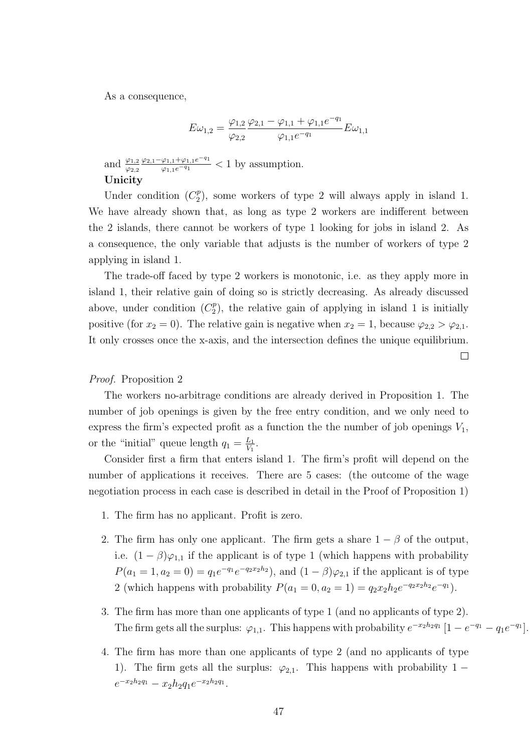As a consequence,

$$
E\omega_{1,2} = \frac{\varphi_{1,2}}{\varphi_{2,2}} \frac{\varphi_{2,1} - \varphi_{1,1} + \varphi_{1,1}e^{-q_1}}{\varphi_{1,1}e^{-q_1}} E\omega_{1,1}
$$

and  $\frac{\varphi_{1,2}}{\varphi_{2,2}}$  $\frac{\varphi_{2,1}-\varphi_{1,1}+\varphi_{1,1}e^{-q_1}}{\varphi_{1,1}e^{-q_1}}$  < 1 by assumption. Unicity

Under condition  $(C_2^p)$  $2<sup>p</sup>$ ), some workers of type 2 will always apply in island 1. We have already shown that, as long as type 2 workers are indifferent between the 2 islands, there cannot be workers of type 1 looking for jobs in island 2. As a consequence, the only variable that adjusts is the number of workers of type 2 applying in island 1.

The trade-off faced by type 2 workers is monotonic, i.e. as they apply more in island 1, their relative gain of doing so is strictly decreasing. As already discussed above, under condition  $(C_2^p)$  $2<sup>p</sup>$ ), the relative gain of applying in island 1 is initially positive (for  $x_2 = 0$ ). The relative gain is negative when  $x_2 = 1$ , because  $\varphi_{2,2} > \varphi_{2,1}$ . It only crosses once the x-axis, and the intersection defines the unique equilibrium.

 $\Box$ 

# Proof. Proposition 2

The workers no-arbitrage conditions are already derived in Proposition 1. The number of job openings is given by the free entry condition, and we only need to express the firm's expected profit as a function the the number of job openings  $V_1$ , or the "initial" queue length  $q_1 = \frac{L_1}{V_1}$  $\frac{L_1}{V_1}$ .

Consider first a firm that enters island 1. The firm's profit will depend on the number of applications it receives. There are 5 cases: (the outcome of the wage negotiation process in each case is described in detail in the Proof of Proposition 1)

- 1. The firm has no applicant. Profit is zero.
- 2. The firm has only one applicant. The firm gets a share  $1 \beta$  of the output, i.e.  $(1 - \beta)\varphi_{1,1}$  if the applicant is of type 1 (which happens with probability  $P(a_1 = 1, a_2 = 0) = q_1 e^{-q_1} e^{-q_2 x_2 h_2}$ , and  $(1 - \beta) \varphi_{2,1}$  if the applicant is of type 2 (which happens with probability  $P(a_1 = 0, a_2 = 1) = q_2 x_2 h_2 e^{-q_2 x_2 h_2} e^{-q_1}$ ).
- 3. The firm has more than one applicants of type 1 (and no applicants of type 2). The firm gets all the surplus:  $\varphi_{1,1}$ . This happens with probability  $e^{-x_2h_2q_1} \left[1 - e^{-q_1} - q_1e^{-q_1}\right]$ .
- 4. The firm has more than one applicants of type 2 (and no applicants of type 1). The firm gets all the surplus:  $\varphi_{2,1}$ . This happens with probability 1 −  $e^{-x_2h_2q_1} - x_2h_2q_1e^{-x_2h_2q_1}.$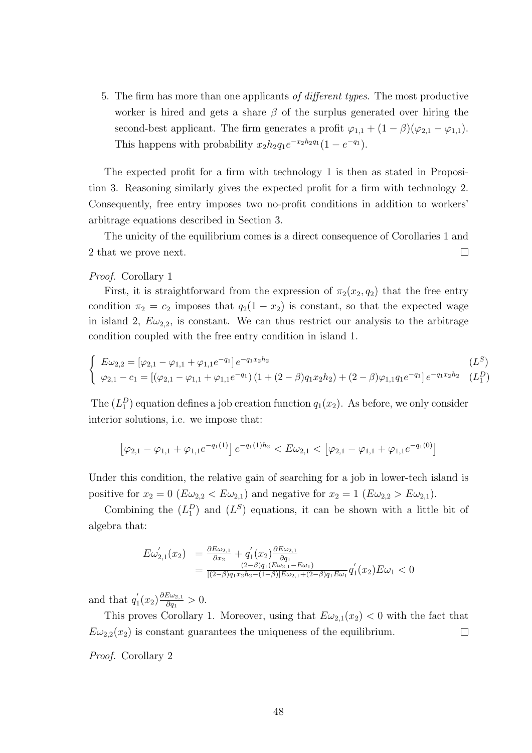5. The firm has more than one applicants of different types. The most productive worker is hired and gets a share  $\beta$  of the surplus generated over hiring the second-best applicant. The firm generates a profit  $\varphi_{1,1} + (1 - \beta)(\varphi_{2,1} - \varphi_{1,1}).$ This happens with probability  $x_2h_2q_1e^{-x_2h_2q_1}(1-e^{-q_1}).$ 

The expected profit for a firm with technology 1 is then as stated in Proposition 3. Reasoning similarly gives the expected profit for a firm with technology 2. Consequently, free entry imposes two no-profit conditions in addition to workers' arbitrage equations described in Section 3.

The unicity of the equilibrium comes is a direct consequence of Corollaries 1 and  $\Box$ 2 that we prove next.

# Proof. Corollary 1

First, it is straightforward from the expression of  $\pi_2(x_2, q_2)$  that the free entry condition  $\pi_2 = c_2$  imposes that  $q_2(1 - x_2)$  is constant, so that the expected wage in island 2,  $E\omega_{2,2}$ , is constant. We can thus restrict our analysis to the arbitrage condition coupled with the free entry condition in island 1.

$$
\begin{cases}\nE\omega_{2,2} = [\varphi_{2,1} - \varphi_{1,1} + \varphi_{1,1}e^{-q_1}]e^{-q_1x_2h_2} & (L^S) \\
\varphi_{2,1} - c_1 = [(\varphi_{2,1} - \varphi_{1,1} + \varphi_{1,1}e^{-q_1}) (1 + (2 - \beta)q_1x_2h_2) + (2 - \beta)\varphi_{1,1}q_1e^{-q_1}]e^{-q_1x_2h_2} & (L_1^D)\n\end{cases}
$$

The  $(L_1^D)$  equation defines a job creation function  $q_1(x_2)$ . As before, we only consider interior solutions, i.e. we impose that:

$$
\left[\varphi_{2,1} - \varphi_{1,1} + \varphi_{1,1}e^{-q_1(1)}\right]e^{-q_1(1)h_2} < E\omega_{2,1} < \left[\varphi_{2,1} - \varphi_{1,1} + \varphi_{1,1}e^{-q_1(0)}\right]
$$

Under this condition, the relative gain of searching for a job in lower-tech island is positive for  $x_2 = 0$  ( $E\omega_{2,2} < E\omega_{2,1}$ ) and negative for  $x_2 = 1$  ( $E\omega_{2,2} > E\omega_{2,1}$ ).

Combining the  $(L_1^D)$  and  $(L^S)$  equations, it can be shown with a little bit of algebra that:

$$
E\omega'_{2,1}(x_2) = \frac{\partial E\omega_{2,1}}{\partial x_2} + q'_1(x_2) \frac{\partial E\omega_{2,1}}{\partial q_1} = \frac{(2-\beta)q_1(E\omega_{2,1} - E\omega_1)}{[(2-\beta)q_1x_2h_2 - (1-\beta)]E\omega_{2,1} + (2-\beta)q_1E\omega_1} q'_1(x_2)E\omega_1 < 0
$$

and that  $q_1'$  $y_1'(x_2)\frac{\partial E\omega_{2,1}}{\partial q_1}$  $\frac{\partial \omega_{2,1}}{\partial q_1} > 0.$ 

This proves Corollary 1. Moreover, using that  $E\omega_{2,1}(x_2) < 0$  with the fact that  $E\omega_{2,2}(x_2)$  is constant guarantees the uniqueness of the equilibrium.  $\Box$ 

Proof. Corollary 2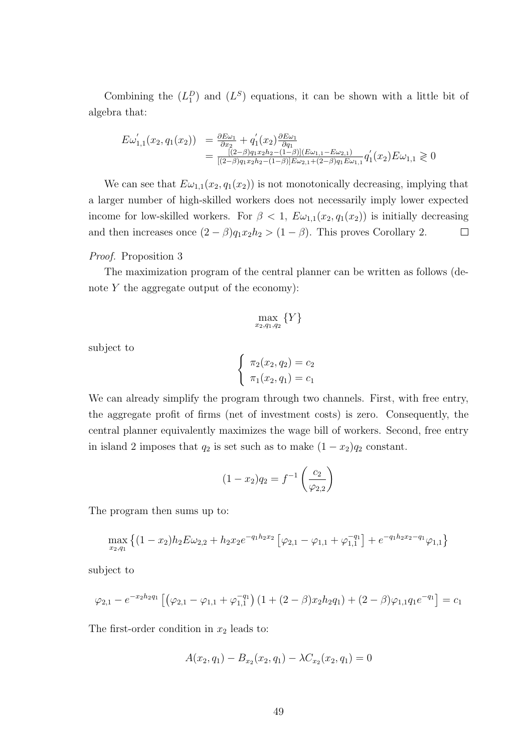Combining the  $(L_1^D)$  and  $(L^S)$  equations, it can be shown with a little bit of algebra that:

$$
E\omega'_{1,1}(x_2, q_1(x_2)) = \frac{\partial E\omega_1}{\partial x_2} + q'_1(x_2) \frac{\partial E\omega_1}{\partial q_1}
$$
  
= 
$$
\frac{[(2-\beta)q_1x_2h_2 - (1-\beta)](E\omega_{1,1} - E\omega_{2,1})}{[(2-\beta)q_1x_2h_2 - (1-\beta)]E\omega_{2,1} + (2-\beta)q_1E\omega_{1,1}} q'_1(x_2)E\omega_{1,1} \ge 0
$$

We can see that  $E\omega_{1,1}(x_2, q_1(x_2))$  is not monotonically decreasing, implying that a larger number of high-skilled workers does not necessarily imply lower expected income for low-skilled workers. For  $\beta < 1$ ,  $E\omega_{1,1}(x_2, q_1(x_2))$  is initially decreasing and then increases once  $(2 - \beta)q_1x_2h_2 > (1 - \beta)$ . This proves Corollary 2.  $\Box$ 

# Proof. Proposition 3

The maximization program of the central planner can be written as follows (denote  $Y$  the aggregate output of the economy):

$$
\max_{x_2,q_1,q_2} \{Y\}
$$

subject to

$$
\begin{cases} \pi_2(x_2, q_2) = c_2 \\ \pi_1(x_2, q_1) = c_1 \end{cases}
$$

We can already simplify the program through two channels. First, with free entry, the aggregate profit of firms (net of investment costs) is zero. Consequently, the central planner equivalently maximizes the wage bill of workers. Second, free entry in island 2 imposes that  $q_2$  is set such as to make  $(1 - x_2)q_2$  constant.

$$
(1 - x_2)q_2 = f^{-1}\left(\frac{c_2}{\varphi_{2,2}}\right)
$$

The program then sums up to:

$$
\max_{x_2,q_1} \left\{ (1-x_2)h_2 E \omega_{2,2} + h_2 x_2 e^{-q_1 h_2 x_2} \left[ \varphi_{2,1} - \varphi_{1,1} + \varphi_{1,1}^{-q_1} \right] + e^{-q_1 h_2 x_2 - q_1} \varphi_{1,1} \right\}
$$

subject to

$$
\varphi_{2,1} - e^{-x_2h_2q_1} \left[ \left( \varphi_{2,1} - \varphi_{1,1} + \varphi_{1,1}^{-q_1} \right) \left( 1 + (2-\beta)x_2h_2q_1 \right) + (2-\beta)\varphi_{1,1}q_1e^{-q_1} \right] = c_1
$$

The first-order condition in  $x_2$  leads to:

$$
A(x_2, q_1) - B_{x_2}(x_2, q_1) - \lambda C_{x_2}(x_2, q_1) = 0
$$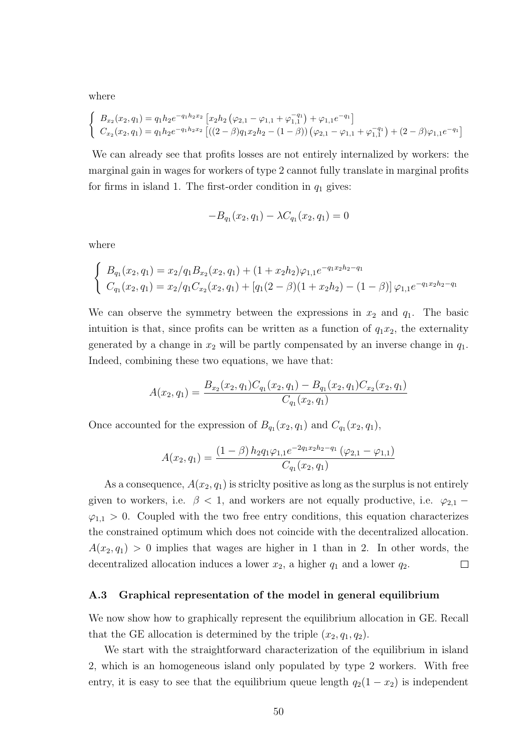where

$$
\begin{cases}\nB_{x_2}(x_2, q_1) = q_1 h_2 e^{-q_1 h_2 x_2} \left[ x_2 h_2 \left( \varphi_{2,1} - \varphi_{1,1} + \varphi_{1,1}^{-q_1} \right) + \varphi_{1,1} e^{-q_1} \right] \\
C_{x_2}(x_2, q_1) = q_1 h_2 e^{-q_1 h_2 x_2} \left[ \left( (2 - \beta) q_1 x_2 h_2 - (1 - \beta) \right) \left( \varphi_{2,1} - \varphi_{1,1} + \varphi_{1,1}^{-q_1} \right) + (2 - \beta) \varphi_{1,1} e^{-q_1} \right]\n\end{cases}
$$

We can already see that profits losses are not entirely internalized by workers: the marginal gain in wages for workers of type 2 cannot fully translate in marginal profits for firms in island 1. The first-order condition in  $q_1$  gives:

$$
-B_{q_1}(x_2, q_1) - \lambda C_{q_1}(x_2, q_1) = 0
$$

where

$$
\begin{cases}\nB_{q_1}(x_2, q_1) = x_2/q_1B_{x_2}(x_2, q_1) + (1 + x_2h_2)\varphi_{1,1}e^{-q_1x_2h_2 - q_1} \\
C_{q_1}(x_2, q_1) = x_2/q_1C_{x_2}(x_2, q_1) + [q_1(2 - \beta)(1 + x_2h_2) - (1 - \beta)]\varphi_{1,1}e^{-q_1x_2h_2 - q_1}\n\end{cases}
$$

We can observe the symmetry between the expressions in  $x_2$  and  $q_1$ . The basic intuition is that, since profits can be written as a function of  $q_1x_2$ , the externality generated by a change in  $x_2$  will be partly compensated by an inverse change in  $q_1$ . Indeed, combining these two equations, we have that:

$$
A(x_2, q_1) = \frac{B_{x_2}(x_2, q_1)C_{q_1}(x_2, q_1) - B_{q_1}(x_2, q_1)C_{x_2}(x_2, q_1)}{C_{q_1}(x_2, q_1)}
$$

Once accounted for the expression of  $B_{q_1}(x_2, q_1)$  and  $C_{q_1}(x_2, q_1)$ ,

$$
A(x_2, q_1) = \frac{(1 - \beta) h_2 q_1 \varphi_{1,1} e^{-2q_1 x_2 h_2 - q_1} (\varphi_{2,1} - \varphi_{1,1})}{C_{q_1}(x_2, q_1)}
$$

As a consequence,  $A(x_2, q_1)$  is strictly positive as long as the surplus is not entirely given to workers, i.e.  $\beta$  < 1, and workers are not equally productive, i.e.  $\varphi_{2,1}$  –  $\varphi_{1,1} > 0$ . Coupled with the two free entry conditions, this equation characterizes the constrained optimum which does not coincide with the decentralized allocation.  $A(x_2, q_1) > 0$  implies that wages are higher in 1 than in 2. In other words, the decentralized allocation induces a lower  $x_2$ , a higher  $q_1$  and a lower  $q_2$ .  $\Box$ 

# A.3 Graphical representation of the model in general equilibrium

We now show how to graphically represent the equilibrium allocation in GE. Recall that the GE allocation is determined by the triple  $(x_2, q_1, q_2)$ .

We start with the straightforward characterization of the equilibrium in island 2, which is an homogeneous island only populated by type 2 workers. With free entry, it is easy to see that the equilibrium queue length  $q_2(1 - x_2)$  is independent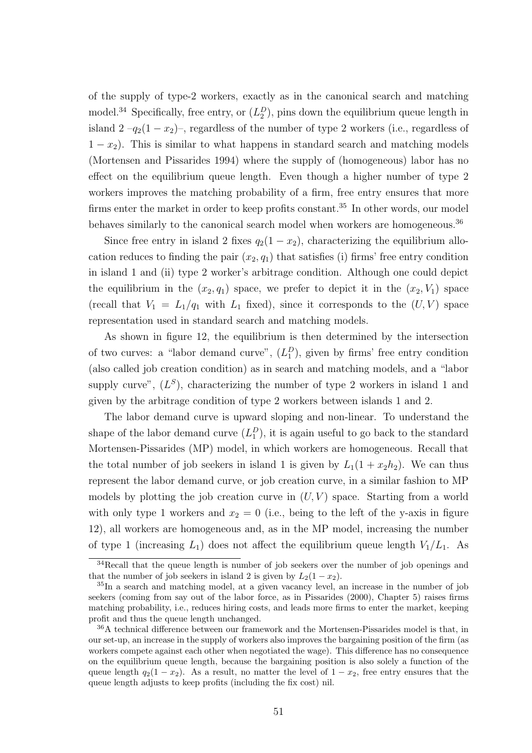of the supply of type-2 workers, exactly as in the canonical search and matching model.<sup>34</sup> Specifically, free entry, or  $(L_2^D)$ , pins down the equilibrium queue length in island  $2 - q_2(1 - x_2)$ , regardless of the number of type 2 workers (i.e., regardless of  $1 - x<sub>2</sub>$ ). This is similar to what happens in standard search and matching models (Mortensen and Pissarides 1994) where the supply of (homogeneous) labor has no effect on the equilibrium queue length. Even though a higher number of type 2 workers improves the matching probability of a firm, free entry ensures that more firms enter the market in order to keep profits constant.<sup>35</sup> In other words, our model behaves similarly to the canonical search model when workers are homogeneous.<sup>36</sup>

Since free entry in island 2 fixes  $q_2(1-x_2)$ , characterizing the equilibrium allocation reduces to finding the pair  $(x_2, q_1)$  that satisfies (i) firms' free entry condition in island 1 and (ii) type 2 worker's arbitrage condition. Although one could depict the equilibrium in the  $(x_2, q_1)$  space, we prefer to depict it in the  $(x_2, V_1)$  space (recall that  $V_1 = L_1/q_1$  with  $L_1$  fixed), since it corresponds to the  $(U, V)$  space representation used in standard search and matching models.

As shown in figure 12, the equilibrium is then determined by the intersection of two curves: a "labor demand curve",  $(L_1^D)$ , given by firms' free entry condition (also called job creation condition) as in search and matching models, and a "labor supply curve",  $(L^S)$ , characterizing the number of type 2 workers in island 1 and given by the arbitrage condition of type 2 workers between islands 1 and 2.

The labor demand curve is upward sloping and non-linear. To understand the shape of the labor demand curve  $(L_1^D)$ , it is again useful to go back to the standard Mortensen-Pissarides (MP) model, in which workers are homogeneous. Recall that the total number of job seekers in island 1 is given by  $L_1(1+x_2h_2)$ . We can thus represent the labor demand curve, or job creation curve, in a similar fashion to MP models by plotting the job creation curve in  $(U, V)$  space. Starting from a world with only type 1 workers and  $x_2 = 0$  (i.e., being to the left of the y-axis in figure 12), all workers are homogeneous and, as in the MP model, increasing the number of type 1 (increasing  $L_1$ ) does not affect the equilibrium queue length  $V_1/L_1$ . As

<sup>&</sup>lt;sup>34</sup>Recall that the queue length is number of job seekers over the number of job openings and that the number of job seekers in island 2 is given by  $L_2(1-x_2)$ .

<sup>35</sup>In a search and matching model, at a given vacancy level, an increase in the number of job seekers (coming from say out of the labor force, as in Pissarides (2000), Chapter 5) raises firms matching probability, i.e., reduces hiring costs, and leads more firms to enter the market, keeping profit and thus the queue length unchanged.

<sup>36</sup>A technical difference between our framework and the Mortensen-Pissarides model is that, in our set-up, an increase in the supply of workers also improves the bargaining position of the firm (as workers compete against each other when negotiated the wage). This difference has no consequence on the equilibrium queue length, because the bargaining position is also solely a function of the queue length  $q_2(1 - x_2)$ . As a result, no matter the level of  $1 - x_2$ , free entry ensures that the queue length adjusts to keep profits (including the fix cost) nil.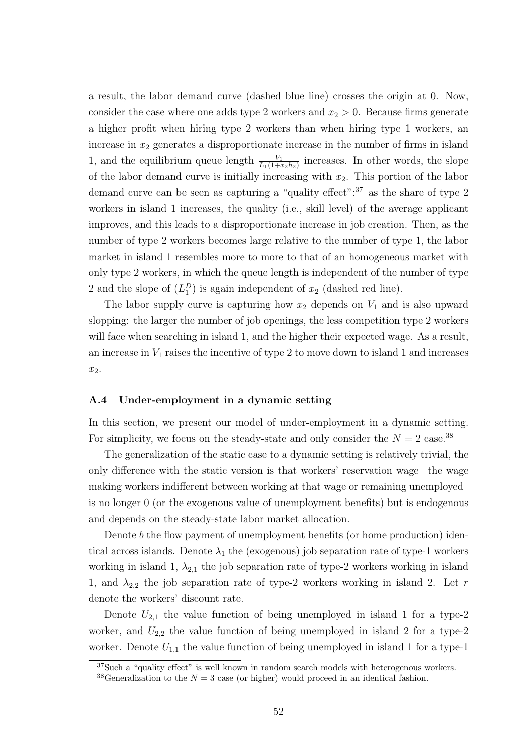a result, the labor demand curve (dashed blue line) crosses the origin at 0. Now, consider the case where one adds type 2 workers and  $x_2 > 0$ . Because firms generate a higher profit when hiring type 2 workers than when hiring type 1 workers, an increase in  $x_2$  generates a disproportionate increase in the number of firms in island 1, and the equilibrium queue length  $\frac{V_1}{L_1(1+x_2h_2)}$  increases. In other words, the slope of the labor demand curve is initially increasing with  $x_2$ . This portion of the labor demand curve can be seen as capturing a "quality effect":<sup>37</sup> as the share of type 2 workers in island 1 increases, the quality (i.e., skill level) of the average applicant improves, and this leads to a disproportionate increase in job creation. Then, as the number of type 2 workers becomes large relative to the number of type 1, the labor market in island 1 resembles more to more to that of an homogeneous market with only type 2 workers, in which the queue length is independent of the number of type 2 and the slope of  $(L_1^D)$  is again independent of  $x_2$  (dashed red line).

The labor supply curve is capturing how  $x_2$  depends on  $V_1$  and is also upward slopping: the larger the number of job openings, the less competition type 2 workers will face when searching in island 1, and the higher their expected wage. As a result, an increase in  $V_1$  raises the incentive of type 2 to move down to island 1 and increases  $x_2$ .

# A.4 Under-employment in a dynamic setting

In this section, we present our model of under-employment in a dynamic setting. For simplicity, we focus on the steady-state and only consider the  $N = 2$  case.<sup>38</sup>

The generalization of the static case to a dynamic setting is relatively trivial, the only difference with the static version is that workers' reservation wage –the wage making workers indifferent between working at that wage or remaining unemployed– is no longer 0 (or the exogenous value of unemployment benefits) but is endogenous and depends on the steady-state labor market allocation.

Denote b the flow payment of unemployment benefits (or home production) identical across islands. Denote  $\lambda_1$  the (exogenous) job separation rate of type-1 workers working in island 1,  $\lambda_{2,1}$  the job separation rate of type-2 workers working in island 1, and  $\lambda_{2,2}$  the job separation rate of type-2 workers working in island 2. Let r denote the workers' discount rate.

Denote  $U_{2,1}$  the value function of being unemployed in island 1 for a type-2 worker, and  $U_{2,2}$  the value function of being unemployed in island 2 for a type-2 worker. Denote  $U_{1,1}$  the value function of being unemployed in island 1 for a type-1

<sup>&</sup>lt;sup>37</sup>Such a "quality effect" is well known in random search models with heterogenous workers.

<sup>&</sup>lt;sup>38</sup>Generalization to the  $N = 3$  case (or higher) would proceed in an identical fashion.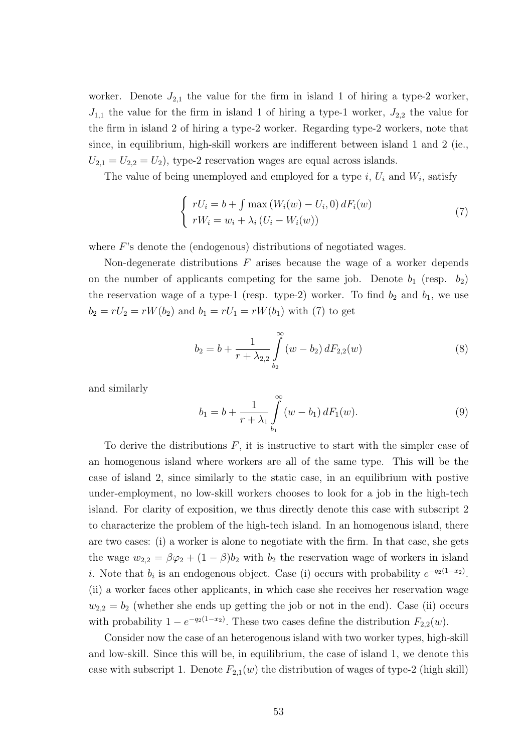worker. Denote  $J_{2,1}$  the value for the firm in island 1 of hiring a type-2 worker,  $J_{1,1}$  the value for the firm in island 1 of hiring a type-1 worker,  $J_{2,2}$  the value for the firm in island 2 of hiring a type-2 worker. Regarding type-2 workers, note that since, in equilibrium, high-skill workers are indifferent between island 1 and 2 (ie.,  $U_{2,1} = U_{2,2} = U_2$ , type-2 reservation wages are equal across islands.

The value of being unemployed and employed for a type  $i, U_i$  and  $W_i$ , satisfy

$$
\begin{cases}\nrU_i = b + \int \max(W_i(w) - U_i, 0) dF_i(w) \\
rW_i = w_i + \lambda_i (U_i - W_i(w))\n\end{cases} (7)
$$

where F's denote the (endogenous) distributions of negotiated wages.

Non-degenerate distributions  $F$  arises because the wage of a worker depends on the number of applicants competing for the same job. Denote  $b_1$  (resp.  $b_2$ ) the reservation wage of a type-1 (resp. type-2) worker. To find  $b_2$  and  $b_1$ , we use  $b_2 = rU_2 = rW(b_2)$  and  $b_1 = rU_1 = rW(b_1)$  with (7) to get

$$
b_2 = b + \frac{1}{r + \lambda_{2,2}} \int_{b_2}^{\infty} (w - b_2) dF_{2,2}(w)
$$
 (8)

and similarly

$$
b_1 = b + \frac{1}{r + \lambda_1} \int_{b_1}^{\infty} (w - b_1) dF_1(w).
$$
 (9)

To derive the distributions  $F$ , it is instructive to start with the simpler case of an homogenous island where workers are all of the same type. This will be the case of island 2, since similarly to the static case, in an equilibrium with postive under-employment, no low-skill workers chooses to look for a job in the high-tech island. For clarity of exposition, we thus directly denote this case with subscript 2 to characterize the problem of the high-tech island. In an homogenous island, there are two cases: (i) a worker is alone to negotiate with the firm. In that case, she gets the wage  $w_{2,2} = \beta \varphi_2 + (1 - \beta)b_2$  with  $b_2$  the reservation wage of workers in island *i*. Note that  $b_i$  is an endogenous object. Case (i) occurs with probability  $e^{-q_2(1-x_2)}$ . (ii) a worker faces other applicants, in which case she receives her reservation wage  $w_{2,2} = b_2$  (whether she ends up getting the job or not in the end). Case (ii) occurs with probability  $1 - e^{-q_2(1-x_2)}$ . These two cases define the distribution  $F_{2,2}(w)$ .

Consider now the case of an heterogenous island with two worker types, high-skill and low-skill. Since this will be, in equilibrium, the case of island 1, we denote this case with subscript 1. Denote  $F_{2,1}(w)$  the distribution of wages of type-2 (high skill)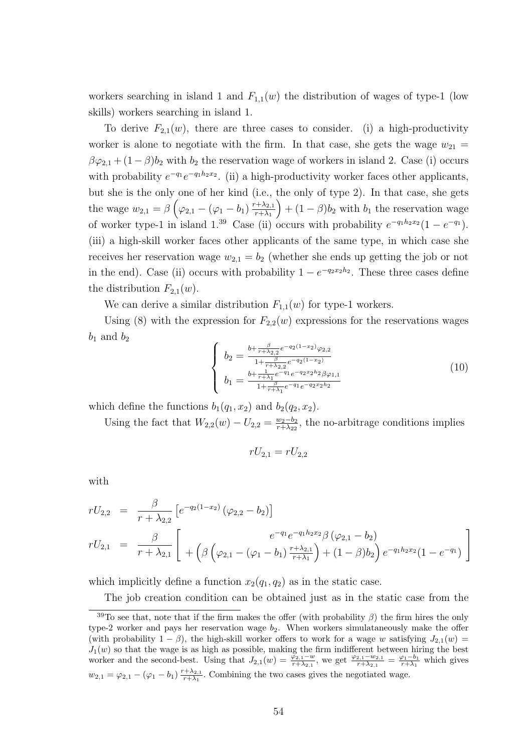workers searching in island 1 and  $F_{1,1}(w)$  the distribution of wages of type-1 (low skills) workers searching in island 1.

To derive  $F_{2,1}(w)$ , there are three cases to consider. (i) a high-productivity worker is alone to negotiate with the firm. In that case, she gets the wage  $w_{21} =$  $\beta\varphi_{2,1} + (1-\beta)b_2$  with  $b_2$  the reservation wage of workers in island 2. Case (i) occurs with probability  $e^{-q_1}e^{-q_1h_2x_2}$ . (ii) a high-productivity worker faces other applicants, but she is the only one of her kind (i.e., the only of type 2). In that case, she gets the wage  $w_{2,1} = \beta \left( \varphi_{2,1} - (\varphi_1 - b_1) \frac{r + \lambda_{2,1}}{r + \lambda_1} \right)$  $r+\lambda_1$  $+ (1 - \beta)b_2$  with  $b_1$  the reservation wage of worker type-1 in island 1.<sup>39</sup> Case (ii) occurs with probability  $e^{-q_1h_2x_2}(1-e^{-q_1})$ . (iii) a high-skill worker faces other applicants of the same type, in which case she receives her reservation wage  $w_{2,1} = b_2$  (whether she ends up getting the job or not in the end). Case (ii) occurs with probability  $1 - e^{-q_2 x_2 h_2}$ . These three cases define the distribution  $F_{2,1}(w)$ .

We can derive a similar distribution  $F_{1,1}(w)$  for type-1 workers.

Using (8) with the expression for  $F_{2,2}(w)$  expressions for the reservations wages  $b_1$  and  $b_2$ 

$$
\begin{cases}\nb_2 = \frac{b + \frac{\beta}{r + \lambda_{2,2}} e^{-q_2(1-x_2)} \varphi_{2,2}}{1 + \frac{\beta}{r + \lambda_{2,2}} e^{-q_2(1-x_2)}} \\
b_1 = \frac{b + \frac{1}{r + \lambda_1} e^{-q_1} e^{-q_2 x_2 h_2} \beta \varphi_{1,1}}{1 + \frac{\beta}{r + \lambda_1} e^{-q_1} e^{-q_2 x_2 h_2}}\n\end{cases} (10)
$$

which define the functions  $b_1(q_1, x_2)$  and  $b_2(q_2, x_2)$ .

Using the fact that  $W_{2,2}(w) - U_{2,2} = \frac{w_2 - b_2}{r + \lambda_2}$  $\frac{w_2 - b_2}{r + \lambda_{22}}$ , the no-arbitrage conditions implies

$$
rU_{2,1} = rU_{2,2}
$$

with

$$
rU_{2,2} = \frac{\beta}{r + \lambda_{2,2}} \left[ e^{-q_2(1-x_2)} (\varphi_{2,2} - b_2) \right]
$$
  
\n
$$
rU_{2,1} = \frac{\beta}{r + \lambda_{2,1}} \left[ + \left( \beta \left( \varphi_{2,1} - (\varphi_1 - b_1) \frac{r + \lambda_{2,1}}{r + \lambda_1} \right) + (1 - \beta) b_2 \right) e^{-q_1 h_2 x_2} (1 - e^{-q_1}) \right]
$$

which implicitly define a function  $x_2(q_1, q_2)$  as in the static case.

The job creation condition can be obtained just as in the static case from the

<sup>&</sup>lt;sup>39</sup>To see that, note that if the firm makes the offer (with probability  $\beta$ ) the firm hires the only type-2 worker and pays her reservation wage  $b_2$ . When workers simulataneously make the offer (with probability  $1 - \beta$ ), the high-skill worker offers to work for a wage w satisfying  $J_{2,1}(w) =$  $J_1(w)$  so that the wage is as high as possible, making the firm indifferent between hiring the best worker and the second-best. Using that  $J_{2,1}(w) = \frac{\varphi_{2,1} - w}{r + \lambda_{2,1}}$ , we get  $\frac{\varphi_{2,1} - w_{2,1}}{r + \lambda_{2,1}} = \frac{\varphi_1 - b_1}{r + \lambda_1}$  which gives  $w_{2,1} = \varphi_{2,1} - (\varphi_1 - b_1) \frac{r + \lambda_{2,1}}{r + \lambda_1}$  $\frac{1+\lambda_2}{r+\lambda_1}$ . Combining the two cases gives the negotiated wage.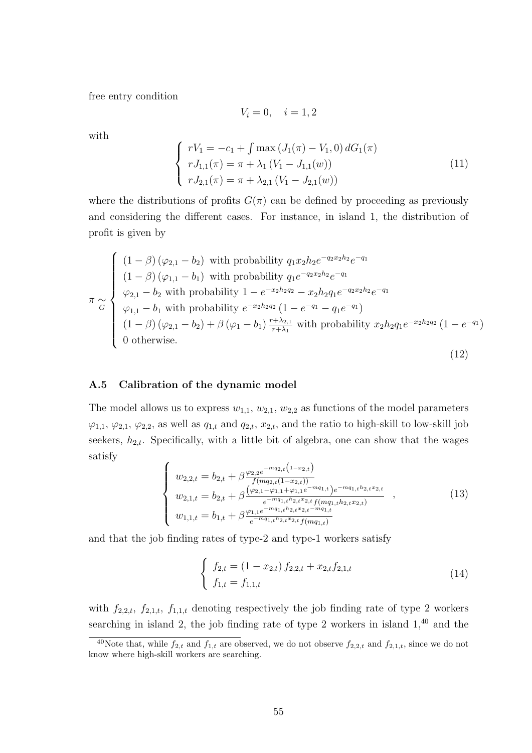free entry condition

$$
V_i = 0, \quad i = 1, 2
$$

with

$$
\begin{cases}\nrV_1 = -c_1 + \int \max (J_1(\pi) - V_1, 0) \, dG_1(\pi) \\
rJ_{1,1}(\pi) = \pi + \lambda_1 (V_1 - J_{1,1}(w)) \\
rJ_{2,1}(\pi) = \pi + \lambda_{2,1} (V_1 - J_{2,1}(w))\n\end{cases} \tag{11}
$$

where the distributions of profits  $G(\pi)$  can be defined by proceeding as previously and considering the different cases. For instance, in island 1, the distribution of profit is given by

$$
\pi \sim \begin{cases}\n(1-\beta)(\varphi_{2,1}-b_2) \text{ with probability } q_1x_2h_2e^{-q_2x_2h_2}e^{-q_1} \\
(1-\beta)(\varphi_{1,1}-b_1) \text{ with probability } q_1e^{-q_2x_2h_2}e^{-q_1} \\
\varphi_{2,1}-b_2 \text{ with probability } 1-e^{-x_2h_2q_2} - x_2h_2q_1e^{-q_2x_2h_2}e^{-q_1} \\
\varphi_{1,1}-b_1 \text{ with probability } e^{-x_2h_2q_2}(1-e^{-q_1}-q_1e^{-q_1}) \\
(1-\beta)(\varphi_{2,1}-b_2)+\beta(\varphi_1-b_1)\frac{r+\lambda_{2,1}}{r+\lambda_1} \text{ with probability } x_2h_2q_1e^{-x_2h_2q_2}(1-e^{-q_1}) \\
0 \text{ otherwise.} \n\end{cases}
$$
\n(12)

# A.5 Calibration of the dynamic model

The model allows us to express  $w_{1,1}$ ,  $w_{2,1}$ ,  $w_{2,2}$  as functions of the model parameters  $\varphi_{1,1}, \varphi_{2,1}, \varphi_{2,2}$ , as well as  $q_{1,t}$  and  $q_{2,t}, x_{2,t}$ , and the ratio to high-skill to low-skill job seekers,  $h_{2,t}$ . Specifically, with a little bit of algebra, one can show that the wages satisfy

$$
\begin{cases}\nw_{2,2,t} = b_{2,t} + \beta \frac{\varphi_{2,2}e^{-mq_{2,t}(1-x_{2,t})}}{f(m_{2,t}(1-x_{2,t}))} \\
w_{2,1,t} = b_{2,t} + \beta \frac{(\varphi_{2,1} - \varphi_{1,1} + \varphi_{1,1}e^{-mq_{1,t}})e^{-mq_{1,t}h_{2,t}x_{2,t}}}{e^{-mq_{1,t}h_{2,t}x_{2,t}}f(m_{q1,t}h_{2,t}x_{2,t})}, \\
w_{1,1,t} = b_{1,t} + \beta \frac{\varphi_{1,1}e^{-mq_{1,t}h_{2,t}x_{2,t} - mq_{1,t}}}{e^{-mq_{1,t}h_{2,t}x_{2,t}}f(m_{q1,t})}\n\end{cases}
$$
\n(13)

and that the job finding rates of type-2 and type-1 workers satisfy

$$
\begin{cases}\nf_{2,t} = (1 - x_{2,t}) f_{2,2,t} + x_{2,t} f_{2,1,t} \\
f_{1,t} = f_{1,1,t}\n\end{cases}
$$
\n(14)

with  $f_{2,2,t}$ ,  $f_{2,1,t}$ ,  $f_{1,1,t}$  denoting respectively the job finding rate of type 2 workers searching in island 2, the job finding rate of type 2 workers in island  $1<sup>40</sup>$  and the

<sup>&</sup>lt;sup>40</sup>Note that, while  $f_{2,t}$  and  $f_{1,t}$  are observed, we do not observe  $f_{2,2,t}$  and  $f_{2,1,t}$ , since we do not know where high-skill workers are searching.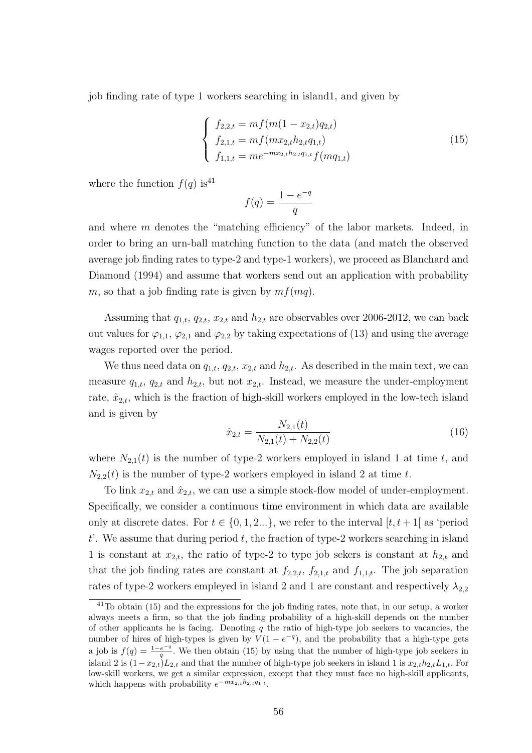job finding rate of type 1 workers searching in island1, and given by

$$
\begin{cases}\nf_{2,2,t} = mf(m(1 - x_{2,t})q_{2,t}) \\
f_{2,1,t} = mf(mx_{2,t}h_{2,t}q_{1,t}) \\
f_{1,1,t} = me^{-mx_{2,t}h_{2,t}q_{1,t}}f(mq_{1,t})\n\end{cases}
$$
\n(15)

where the function  $f(q)$  is<sup>41</sup>

$$
f(q) = \frac{1 - e^{-q}}{q}
$$

and where m denotes the "matching efficiency" of the labor markets. Indeed, in order to bring an urn-ball matching function to the data (and match the observed average job finding rates to type-2 and type-1 workers), we proceed as Blanchard and Diamond (1994) and assume that workers send out an application with probability m, so that a job finding rate is given by  $mf(mq)$ .

Assuming that  $q_{1,t}$ ,  $q_{2,t}$ ,  $x_{2,t}$  and  $h_{2,t}$  are observables over 2006-2012, we can back out values for  $\varphi_{1,1}, \varphi_{2,1}$  and  $\varphi_{2,2}$  by taking expectations of (13) and using the average wages reported over the period.

We thus need data on  $q_{1,t}$ ,  $q_{2,t}$ ,  $x_{2,t}$  and  $h_{2,t}$ . As described in the main text, we can measure  $q_{1,t}$ ,  $q_{2,t}$  and  $h_{2,t}$ , but not  $x_{2,t}$ . Instead, we measure the under-employment rate,  $\hat{x}_{2,t}$ , which is the fraction of high-skill workers employed in the low-tech island and is given by

$$
\hat{x}_{2,t} = \frac{N_{2,1}(t)}{N_{2,1}(t) + N_{2,2}(t)}\tag{16}
$$

where  $N_{2,1}(t)$  is the number of type-2 workers employed in island 1 at time t, and  $N_{2,2}(t)$  is the number of type-2 workers employed in island 2 at time t.

To link  $x_{2,t}$  and  $\hat{x}_{2,t}$ , we can use a simple stock-flow model of under-employment. Specifically, we consider a continuous time environment in which data are available only at discrete dates. For  $t \in \{0, 1, 2...\}$ , we refer to the interval  $[t, t+1]$  as 'period t. We assume that during period  $t$ , the fraction of type-2 workers searching in island 1 is constant at  $x_{2,t}$ , the ratio of type-2 to type job sekers is constant at  $h_{2,t}$  and that the job finding rates are constant at  $f_{2,2,t}$ ,  $f_{2,1,t}$  and  $f_{1,1,t}$ . The job separation rates of type-2 workers empleyed in island 2 and 1 are constant and respectively  $\lambda_{2,2}$ 

<sup>&</sup>lt;sup>41</sup>To obtain (15) and the expressions for the job finding rates, note that, in our setup, a worker always meets a firm, so that the job finding probability of a high-skill depends on the number of other applicants he is facing. Denoting  $q$  the ratio of high-type job seekers to vacancies, the number of hires of high-types is given by  $V(1-e^{-q})$ , and the probability that a high-type gets a job is  $f(q) = \frac{1-e^{-q}}{q}$  $\frac{e^{-q}}{q}$ . We then obtain (15) by using that the number of high-type job seekers in island 2 is  $(1-x_{2,t})L_{2,t}$  and that the number of high-type job seekers in island 1 is  $x_{2,t}h_{2,t}L_{1,t}$ . For low-skill workers, we get a similar expression, except that they must face no high-skill applicants, which happens with probability  $e^{-mx_{2,t}h_{2,t}q_{1,t}}$ .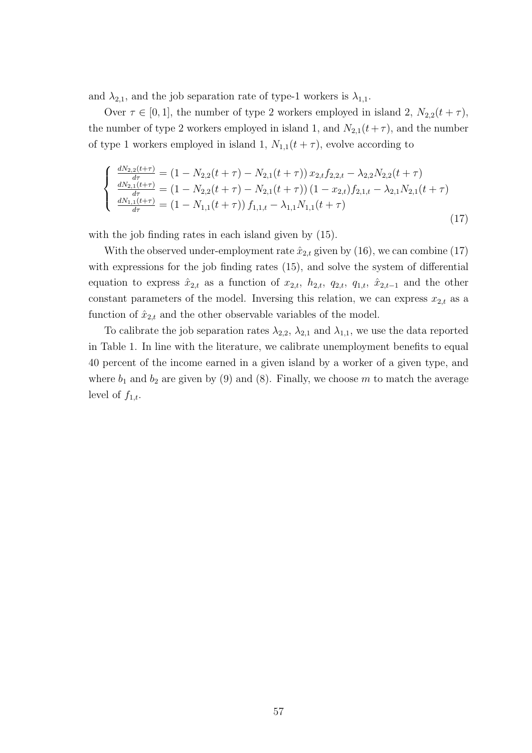and  $\lambda_{2,1}$ , and the job separation rate of type-1 workers is  $\lambda_{1,1}$ .

Over  $\tau \in [0,1]$ , the number of type 2 workers employed in island 2,  $N_{2,2}(t+\tau)$ , the number of type 2 workers employed in island 1, and  $N_{2,1}(t+\tau)$ , and the number of type 1 workers employed in island 1,  $N_{1,1}(t+\tau)$ , evolve according to

$$
\begin{cases}\n\frac{dN_{2,2}(t+\tau)}{d\tau} = (1 - N_{2,2}(t+\tau) - N_{2,1}(t+\tau)) x_{2,t} f_{2,2,t} - \lambda_{2,2} N_{2,2}(t+\tau) \\
\frac{dN_{2,1}(t+\tau)}{d\tau} = (1 - N_{2,2}(t+\tau) - N_{2,1}(t+\tau)) (1 - x_{2,t}) f_{2,1,t} - \lambda_{2,1} N_{2,1}(t+\tau) \\
\frac{dN_{1,1}(t+\tau)}{d\tau} = (1 - N_{1,1}(t+\tau)) f_{1,1,t} - \lambda_{1,1} N_{1,1}(t+\tau)\n\end{cases}
$$
\n(17)

with the job finding rates in each island given by (15).

With the observed under-employment rate  $\hat{x}_{2,t}$  given by (16), we can combine (17) with expressions for the job finding rates  $(15)$ , and solve the system of differential equation to express  $\hat{x}_{2,t}$  as a function of  $x_{2,t}$ ,  $h_{2,t}$ ,  $q_{2,t}$ ,  $q_{1,t}$ ,  $\hat{x}_{2,t-1}$  and the other constant parameters of the model. Inversing this relation, we can express  $x_{2,t}$  as a function of  $\hat{x}_{2,t}$  and the other observable variables of the model.

To calibrate the job separation rates  $\lambda_{2,2}$ ,  $\lambda_{2,1}$  and  $\lambda_{1,1}$ , we use the data reported in Table 1. In line with the literature, we calibrate unemployment benefits to equal 40 percent of the income earned in a given island by a worker of a given type, and where  $b_1$  and  $b_2$  are given by (9) and (8). Finally, we choose m to match the average level of  $f_{1,t}$ .